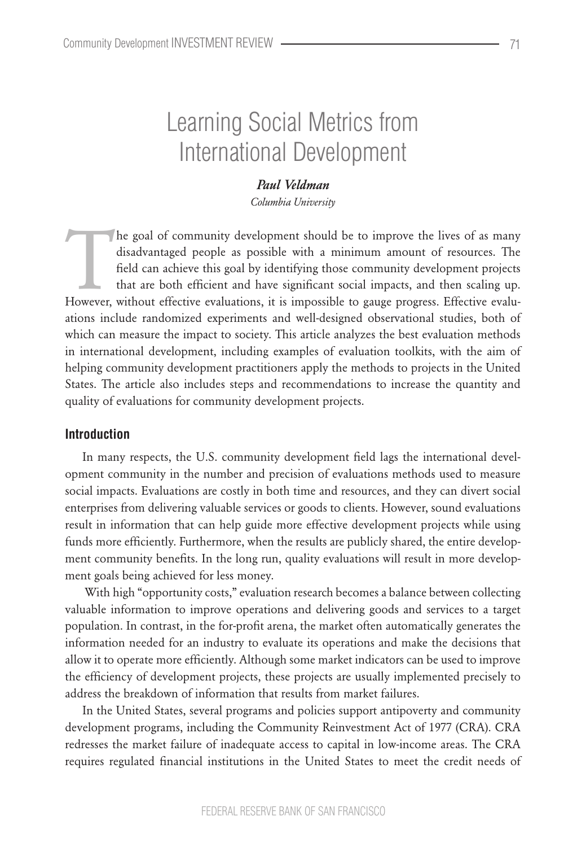# Learning Social Metrics from International Development

#### *Paul Veldman*

*Columbia University*

The goal of community development should be to improve the lives of as many disadvantaged people as possible with a minimum amount of resources. The field can achieve this goal by identifying those community development pr disadvantaged people as possible with a minimum amount of resources. The field can achieve this goal by identifying those community development projects that are both efficient and have significant social impacts, and then scaling up. However, without effective evaluations, it is impossible to gauge progress. Effective evaluations include randomized experiments and well-designed observational studies, both of which can measure the impact to society. This article analyzes the best evaluation methods in international development, including examples of evaluation toolkits, with the aim of helping community development practitioners apply the methods to projects in the United States. The article also includes steps and recommendations to increase the quantity and quality of evaluations for community development projects.

### **Introduction**

In many respects, the U.S. community development field lags the international development community in the number and precision of evaluations methods used to measure social impacts. Evaluations are costly in both time and resources, and they can divert social enterprises from delivering valuable services or goods to clients. However, sound evaluations result in information that can help guide more effective development projects while using funds more efficiently. Furthermore, when the results are publicly shared, the entire development community benefits. In the long run, quality evaluations will result in more development goals being achieved for less money.

With high "opportunity costs," evaluation research becomes a balance between collecting valuable information to improve operations and delivering goods and services to a target population. In contrast, in the for-profit arena, the market often automatically generates the information needed for an industry to evaluate its operations and make the decisions that allow it to operate more efficiently. Although some market indicators can be used to improve the efficiency of development projects, these projects are usually implemented precisely to address the breakdown of information that results from market failures.

In the United States, several programs and policies support antipoverty and community development programs, including the Community Reinvestment Act of 1977 (CRA). CRA redresses the market failure of inadequate access to capital in low-income areas. The CRA requires regulated financial institutions in the United States to meet the credit needs of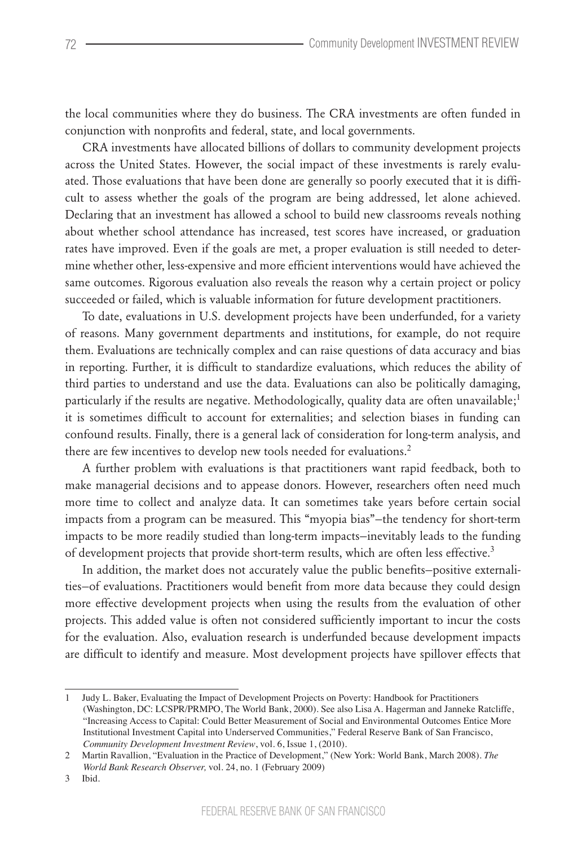the local communities where they do business. The CRA investments are often funded in conjunction with nonprofits and federal, state, and local governments.

CRA investments have allocated billions of dollars to community development projects across the United States. However, the social impact of these investments is rarely evaluated. Those evaluations that have been done are generally so poorly executed that it is difficult to assess whether the goals of the program are being addressed, let alone achieved. Declaring that an investment has allowed a school to build new classrooms reveals nothing about whether school attendance has increased, test scores have increased, or graduation rates have improved. Even if the goals are met, a proper evaluation is still needed to determine whether other, less-expensive and more efficient interventions would have achieved the same outcomes. Rigorous evaluation also reveals the reason why a certain project or policy succeeded or failed, which is valuable information for future development practitioners.

To date, evaluations in U.S. development projects have been underfunded, for a variety of reasons. Many government departments and institutions, for example, do not require them. Evaluations are technically complex and can raise questions of data accuracy and bias in reporting. Further, it is difficult to standardize evaluations, which reduces the ability of third parties to understand and use the data. Evaluations can also be politically damaging, particularly if the results are negative. Methodologically, quality data are often unavailable;<sup>1</sup> it is sometimes difficult to account for externalities; and selection biases in funding can confound results. Finally, there is a general lack of consideration for long-term analysis, and there are few incentives to develop new tools needed for evaluations.<sup>2</sup>

A further problem with evaluations is that practitioners want rapid feedback, both to make managerial decisions and to appease donors. However, researchers often need much more time to collect and analyze data. It can sometimes take years before certain social impacts from a program can be measured. This "myopia bias"—the tendency for short-term impacts to be more readily studied than long-term impacts—inevitably leads to the funding of development projects that provide short-term results, which are often less effective.<sup>3</sup>

In addition, the market does not accurately value the public benefits—positive externalities—of evaluations. Practitioners would benefit from more data because they could design more effective development projects when using the results from the evaluation of other projects. This added value is often not considered sufficiently important to incur the costs for the evaluation. Also, evaluation research is underfunded because development impacts are difficult to identify and measure. Most development projects have spillover effects that

<sup>1</sup>  Judy L. Baker, Evaluating the Impact of Development Projects on Poverty: Handbook for Practitioners (Washington, DC: LCSPR/PRMPO, The World Bank, 2000). See also Lisa A. Hagerman and Janneke Ratcliffe, "Increasing Access to Capital: Could Better Measurement of Social and Environmental Outcomes Entice More Institutional Investment Capital into Underserved Communities," Federal Reserve Bank of San Francisco, *Community Development Investment Review*, vol. 6, Issue 1, (2010).

<sup>2</sup>  Martin Ravallion, "Evaluation in the Practice of Development," (New York: World Bank, March 2008). *The World Bank Research Observer,* vol. 24, no. 1 (February 2009)

<sup>3</sup>  Ibid.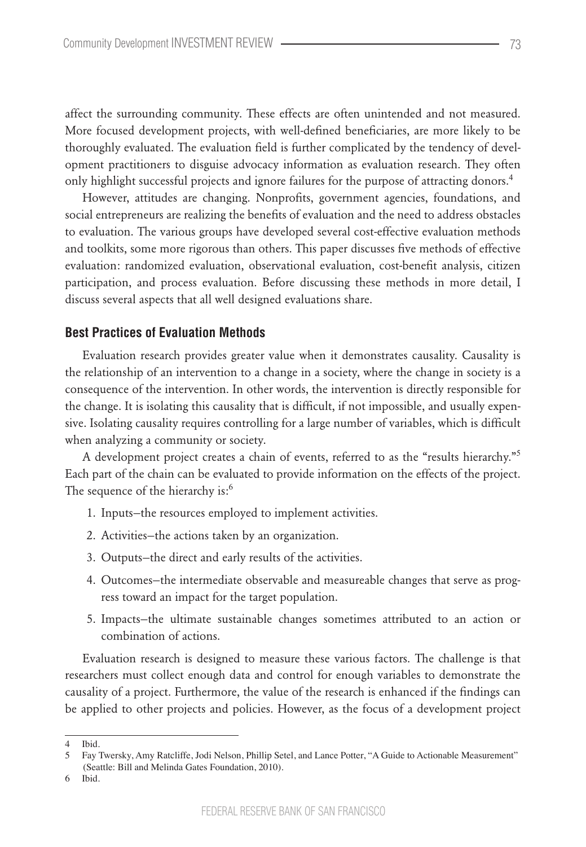affect the surrounding community. These effects are often unintended and not measured. More focused development projects, with well-defined beneficiaries, are more likely to be thoroughly evaluated. The evaluation field is further complicated by the tendency of development practitioners to disguise advocacy information as evaluation research. They often only highlight successful projects and ignore failures for the purpose of attracting donors.<sup>4</sup>

However, attitudes are changing. Nonprofits, government agencies, foundations, and social entrepreneurs are realizing the benefits of evaluation and the need to address obstacles to evaluation. The various groups have developed several cost-effective evaluation methods and toolkits, some more rigorous than others. This paper discusses five methods of effective evaluation: randomized evaluation, observational evaluation, cost-benefit analysis, citizen participation, and process evaluation. Before discussing these methods in more detail, I discuss several aspects that all well designed evaluations share.

#### **Best Practices of Evaluation Methods**

Evaluation research provides greater value when it demonstrates causality. Causality is the relationship of an intervention to a change in a society, where the change in society is a consequence of the intervention. In other words, the intervention is directly responsible for the change. It is isolating this causality that is difficult, if not impossible, and usually expensive. Isolating causality requires controlling for a large number of variables, which is difficult when analyzing a community or society.

A development project creates a chain of events, referred to as the "results hierarchy."<sup>5</sup> Each part of the chain can be evaluated to provide information on the effects of the project. The sequence of the hierarchy is:<sup>6</sup>

- 1. Inputs—the resources employed to implement activities.
- 2. Activities—the actions taken by an organization.
- 3. Outputs—the direct and early results of the activities.
- 4. Outcomes—the intermediate observable and measureable changes that serve as progress toward an impact for the target population.
- 5. Impacts—the ultimate sustainable changes sometimes attributed to an action or combination of actions.

Evaluation research is designed to measure these various factors. The challenge is that researchers must collect enough data and control for enough variables to demonstrate the causality of a project. Furthermore, the value of the research is enhanced if the findings can be applied to other projects and policies. However, as the focus of a development project

Ibid.

<sup>5</sup>  Fay Twersky, Amy Ratcliffe, Jodi Nelson, Phillip Setel, and Lance Potter, "A Guide to Actionable Measurement" (Seattle: Bill and Melinda Gates Foundation, 2010).

<sup>6</sup>  Ibid.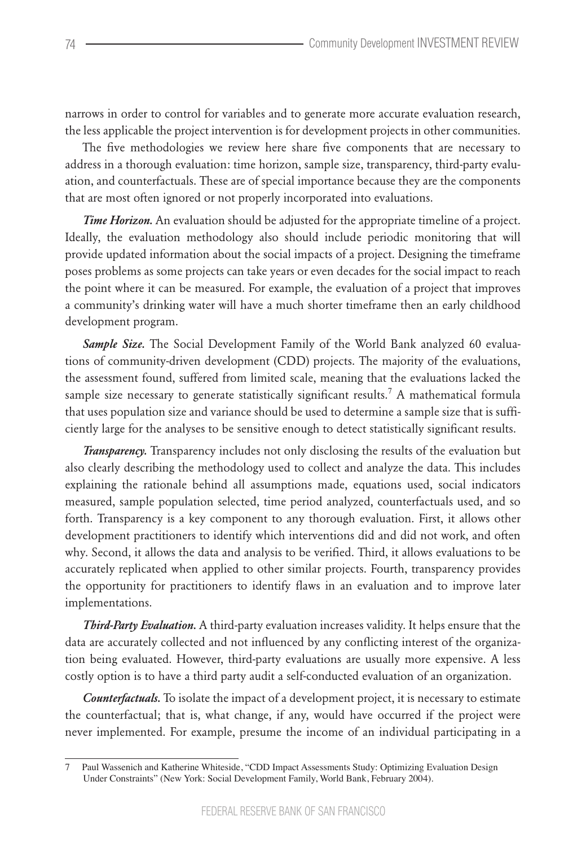narrows in order to control for variables and to generate more accurate evaluation research, the less applicable the project intervention is for development projects in other communities.

The five methodologies we review here share five components that are necessary to address in a thorough evaluation: time horizon, sample size, transparency, third-party evaluation, and counterfactuals. These are of special importance because they are the components that are most often ignored or not properly incorporated into evaluations.

*Time Horizon.* An evaluation should be adjusted for the appropriate timeline of a project. Ideally, the evaluation methodology also should include periodic monitoring that will provide updated information about the social impacts of a project. Designing the timeframe poses problems as some projects can take years or even decades for the social impact to reach the point where it can be measured. For example, the evaluation of a project that improves a community's drinking water will have a much shorter timeframe then an early childhood development program.

*Sample Size.* The Social Development Family of the World Bank analyzed 60 evaluations of community-driven development (CDD) projects. The majority of the evaluations, the assessment found, suffered from limited scale, meaning that the evaluations lacked the sample size necessary to generate statistically significant results.<sup>7</sup> A mathematical formula that uses population size and variance should be used to determine a sample size that is sufficiently large for the analyses to be sensitive enough to detect statistically significant results.

*Transparency.* Transparency includes not only disclosing the results of the evaluation but also clearly describing the methodology used to collect and analyze the data. This includes explaining the rationale behind all assumptions made, equations used, social indicators measured, sample population selected, time period analyzed, counterfactuals used, and so forth. Transparency is a key component to any thorough evaluation. First, it allows other development practitioners to identify which interventions did and did not work, and often why. Second, it allows the data and analysis to be verified. Third, it allows evaluations to be accurately replicated when applied to other similar projects. Fourth, transparency provides the opportunity for practitioners to identify flaws in an evaluation and to improve later implementations.

*Third-Party Evaluation.* A third-party evaluation increases validity. It helps ensure that the data are accurately collected and not influenced by any conflicting interest of the organization being evaluated. However, third-party evaluations are usually more expensive. A less costly option is to have a third party audit a self-conducted evaluation of an organization.

*Counterfactuals.* To isolate the impact of a development project, it is necessary to estimate the counterfactual; that is, what change, if any, would have occurred if the project were never implemented. For example, presume the income of an individual participating in a

<sup>7</sup>  Paul Wassenich and Katherine Whiteside, "CDD Impact Assessments Study: Optimizing Evaluation Design Under Constraints" (New York: Social Development Family, World Bank, February 2004).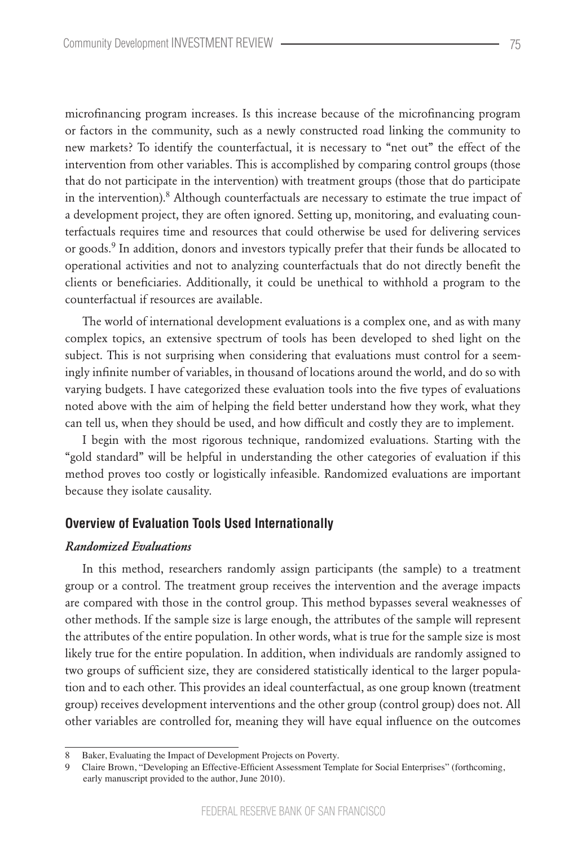microfinancing program increases. Is this increase because of the microfinancing program or factors in the community, such as a newly constructed road linking the community to new markets? To identify the counterfactual, it is necessary to "net out" the effect of the intervention from other variables. This is accomplished by comparing control groups (those that do not participate in the intervention) with treatment groups (those that do participate in the intervention). $8$  Although counterfactuals are necessary to estimate the true impact of a development project, they are often ignored. Setting up, monitoring, and evaluating counterfactuals requires time and resources that could otherwise be used for delivering services or goods.<sup>9</sup> In addition, donors and investors typically prefer that their funds be allocated to operational activities and not to analyzing counterfactuals that do not directly benefit the clients or beneficiaries. Additionally, it could be unethical to withhold a program to the counterfactual if resources are available.

The world of international development evaluations is a complex one, and as with many complex topics, an extensive spectrum of tools has been developed to shed light on the subject. This is not surprising when considering that evaluations must control for a seemingly infinite number of variables, in thousand of locations around the world, and do so with varying budgets. I have categorized these evaluation tools into the five types of evaluations noted above with the aim of helping the field better understand how they work, what they can tell us, when they should be used, and how difficult and costly they are to implement.

I begin with the most rigorous technique, randomized evaluations. Starting with the "gold standard" will be helpful in understanding the other categories of evaluation if this method proves too costly or logistically infeasible. Randomized evaluations are important because they isolate causality.

#### **Overview of Evaluation Tools Used Internationally**

#### *Randomized Evaluations*

In this method, researchers randomly assign participants (the sample) to a treatment group or a control. The treatment group receives the intervention and the average impacts are compared with those in the control group. This method bypasses several weaknesses of other methods. If the sample size is large enough, the attributes of the sample will represent the attributes of the entire population. In other words, what is true for the sample size is most likely true for the entire population. In addition, when individuals are randomly assigned to two groups of sufficient size, they are considered statistically identical to the larger population and to each other. This provides an ideal counterfactual, as one group known (treatment group) receives development interventions and the other group (control group) does not. All other variables are controlled for, meaning they will have equal influence on the outcomes

<sup>8</sup>  Baker, Evaluating the Impact of Development Projects on Poverty.

<sup>9</sup>  Claire Brown, "Developing an Effective-Efficient Assessment Template for Social Enterprises" (forthcoming, early manuscript provided to the author, June 2010).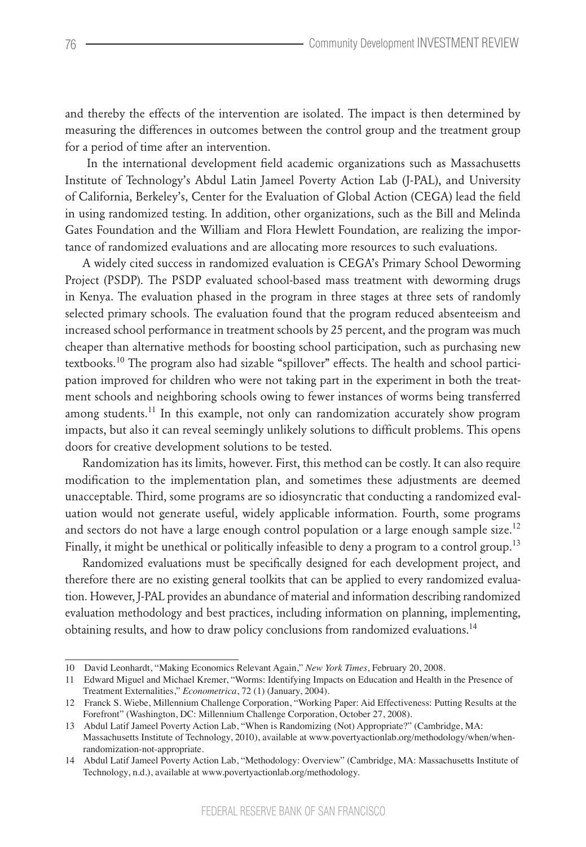and thereby the effects of the intervention are isolated. The impact is then determined by measuring the differences in outcomes between the control group and the treatment group for a period of time after an intervention.

 In the international development field academic organizations such as Massachusetts Institute of Technology's Abdul Latin Jameel Poverty Action Lab (J-PAL), and University of California, Berkeley's, Center for the Evaluation of Global Action (CEGA) lead the field in using randomized testing. In addition, other organizations, such as the Bill and Melinda Gates Foundation and the William and Flora Hewlett Foundation, are realizing the importance of randomized evaluations and are allocating more resources to such evaluations.

A widely cited success in randomized evaluation is CEGA's Primary School Deworming Project (PSDP). The PSDP evaluated school-based mass treatment with deworming drugs in Kenya. The evaluation phased in the program in three stages at three sets of randomly selected primary schools. The evaluation found that the program reduced absenteeism and increased school performance in treatment schools by 25 percent, and the program was much cheaper than alternative methods for boosting school participation, such as purchasing new textbooks.<sup>10</sup> The program also had sizable "spillover" effects. The health and school participation improved for children who were not taking part in the experiment in both the treatment schools and neighboring schools owing to fewer instances of worms being transferred among students.<sup>11</sup> In this example, not only can randomization accurately show program impacts, but also it can reveal seemingly unlikely solutions to difficult problems. This opens doors for creative development solutions to be tested.

Randomization has its limits, however. First, this method can be costly. It can also require modification to the implementation plan, and sometimes these adjustments are deemed unacceptable. Third, some programs are so idiosyncratic that conducting a randomized evaluation would not generate useful, widely applicable information. Fourth, some programs and sectors do not have a large enough control population or a large enough sample size.<sup>12</sup> Finally, it might be unethical or politically infeasible to deny a program to a control group.<sup>13</sup>

Randomized evaluations must be specifically designed for each development project, and therefore there are no existing general toolkits that can be applied to every randomized evaluation. However, J-PAL provides an abundance of material and information describing randomized evaluation methodology and best practices, including information on planning, implementing, obtaining results, and how to draw policy conclusions from randomized evaluations.<sup>14</sup>

<sup>10</sup> David Leonhardt, "Making Economics Relevant Again," *New York Times*, February 20, 2008.

<sup>11</sup> Edward Miguel and Michael Kremer, "Worms: Identifying Impacts on Education and Health in the Presence of Treatment Externalities," *Econometrica*, 72 (1) (January, 2004).

<sup>12</sup> Franck S. Wiebe, Millennium Challenge Corporation, "Working Paper: Aid Effectiveness: Putting Results at the Forefront" (Washington, DC: Millennium Challenge Corporation, October 27, 2008).

<sup>13</sup> Abdul Latif Jameel Poverty Action Lab, "When is Randomizing (Not) Appropriate?" (Cambridge, MA: Massachusetts Institute of Technology, 2010), available at www.povertyactionlab.org/methodology/when/whenrandomization-not-appropriate.

<sup>14</sup> Abdul Latif Jameel Poverty Action Lab, "Methodology: Overview" (Cambridge, MA: Massachusetts Institute of Technology, n.d.), available at www.povertyactionlab.org/methodology.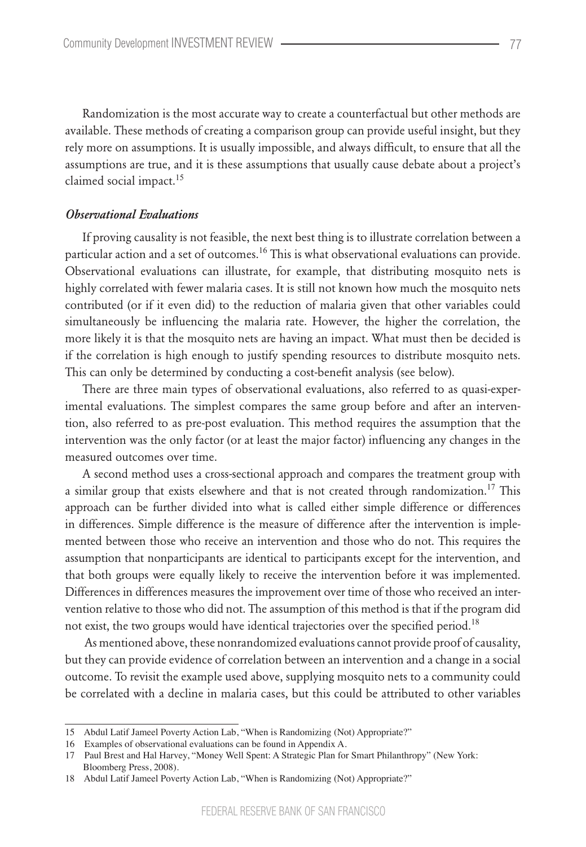Randomization is the most accurate way to create a counterfactual but other methods are available. These methods of creating a comparison group can provide useful insight, but they rely more on assumptions. It is usually impossible, and always difficult, to ensure that all the assumptions are true, and it is these assumptions that usually cause debate about a project's claimed social impact.<sup>15</sup>

#### *Observational Evaluations*

If proving causality is not feasible, the next best thing is to illustrate correlation between a particular action and a set of outcomes.<sup>16</sup> This is what observational evaluations can provide. Observational evaluations can illustrate, for example, that distributing mosquito nets is highly correlated with fewer malaria cases. It is still not known how much the mosquito nets contributed (or if it even did) to the reduction of malaria given that other variables could simultaneously be influencing the malaria rate. However, the higher the correlation, the more likely it is that the mosquito nets are having an impact. What must then be decided is if the correlation is high enough to justify spending resources to distribute mosquito nets. This can only be determined by conducting a cost-benefit analysis (see below).

There are three main types of observational evaluations, also referred to as quasi-experimental evaluations. The simplest compares the same group before and after an intervention, also referred to as pre-post evaluation. This method requires the assumption that the intervention was the only factor (or at least the major factor) influencing any changes in the measured outcomes over time.

A second method uses a cross-sectional approach and compares the treatment group with a similar group that exists elsewhere and that is not created through randomization.<sup>17</sup> This approach can be further divided into what is called either simple difference or differences in differences. Simple difference is the measure of difference after the intervention is implemented between those who receive an intervention and those who do not. This requires the assumption that nonparticipants are identical to participants except for the intervention, and that both groups were equally likely to receive the intervention before it was implemented. Differences in differences measures the improvement over time of those who received an intervention relative to those who did not. The assumption of this method is that if the program did not exist, the two groups would have identical trajectories over the specified period.<sup>18</sup>

 As mentioned above, these nonrandomized evaluations cannot provide proof of causality, but they can provide evidence of correlation between an intervention and a change in a social outcome. To revisit the example used above, supplying mosquito nets to a community could be correlated with a decline in malaria cases, but this could be attributed to other variables

<sup>15</sup> Abdul Latif Jameel Poverty Action Lab, "When is Randomizing (Not) Appropriate?"

<sup>16</sup> Examples of observational evaluations can be found in Appendix A.

<sup>17</sup> Paul Brest and Hal Harvey, "Money Well Spent: A Strategic Plan for Smart Philanthropy" (New York: Bloomberg Press, 2008).

<sup>18</sup> Abdul Latif Jameel Poverty Action Lab, "When is Randomizing (Not) Appropriate?"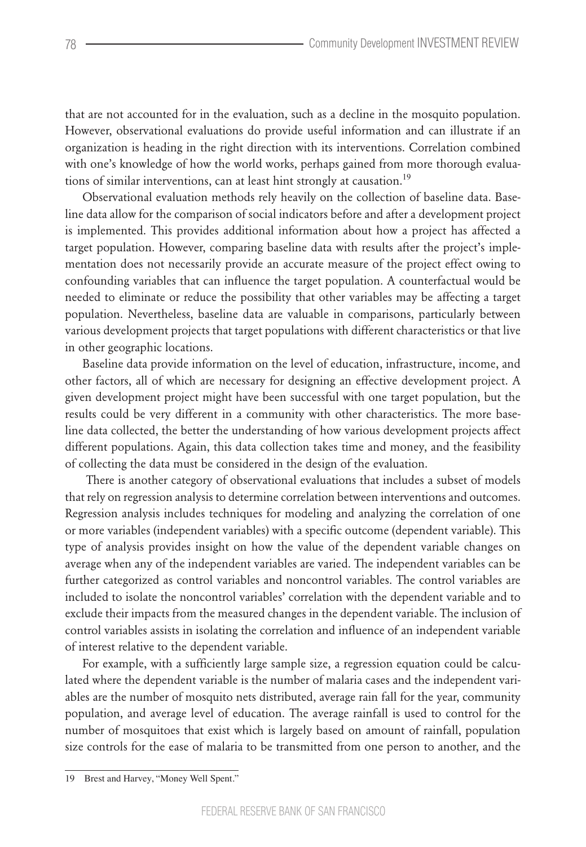that are not accounted for in the evaluation, such as a decline in the mosquito population. However, observational evaluations do provide useful information and can illustrate if an organization is heading in the right direction with its interventions. Correlation combined with one's knowledge of how the world works, perhaps gained from more thorough evaluations of similar interventions, can at least hint strongly at causation.<sup>19</sup>

Observational evaluation methods rely heavily on the collection of baseline data. Baseline data allow for the comparison of social indicators before and after a development project is implemented. This provides additional information about how a project has affected a target population. However, comparing baseline data with results after the project's implementation does not necessarily provide an accurate measure of the project effect owing to confounding variables that can influence the target population. A counterfactual would be needed to eliminate or reduce the possibility that other variables may be affecting a target population. Nevertheless, baseline data are valuable in comparisons, particularly between various development projects that target populations with different characteristics or that live in other geographic locations.

Baseline data provide information on the level of education, infrastructure, income, and other factors, all of which are necessary for designing an effective development project. A given development project might have been successful with one target population, but the results could be very different in a community with other characteristics. The more baseline data collected, the better the understanding of how various development projects affect different populations. Again, this data collection takes time and money, and the feasibility of collecting the data must be considered in the design of the evaluation.

 There is another category of observational evaluations that includes a subset of models that rely on regression analysis to determine correlation between interventions and outcomes. Regression analysis includes techniques for modeling and analyzing the correlation of one or more variables (independent variables) with a specific outcome (dependent variable). This type of analysis provides insight on how the value of the dependent variable changes on average when any of the independent variables are varied. The independent variables can be further categorized as control variables and noncontrol variables. The control variables are included to isolate the noncontrol variables' correlation with the dependent variable and to exclude their impacts from the measured changes in the dependent variable. The inclusion of control variables assists in isolating the correlation and influence of an independent variable of interest relative to the dependent variable.

For example, with a sufficiently large sample size, a regression equation could be calculated where the dependent variable is the number of malaria cases and the independent variables are the number of mosquito nets distributed, average rain fall for the year, community population, and average level of education. The average rainfall is used to control for the number of mosquitoes that exist which is largely based on amount of rainfall, population size controls for the ease of malaria to be transmitted from one person to another, and the

<sup>19</sup> Brest and Harvey, "Money Well Spent."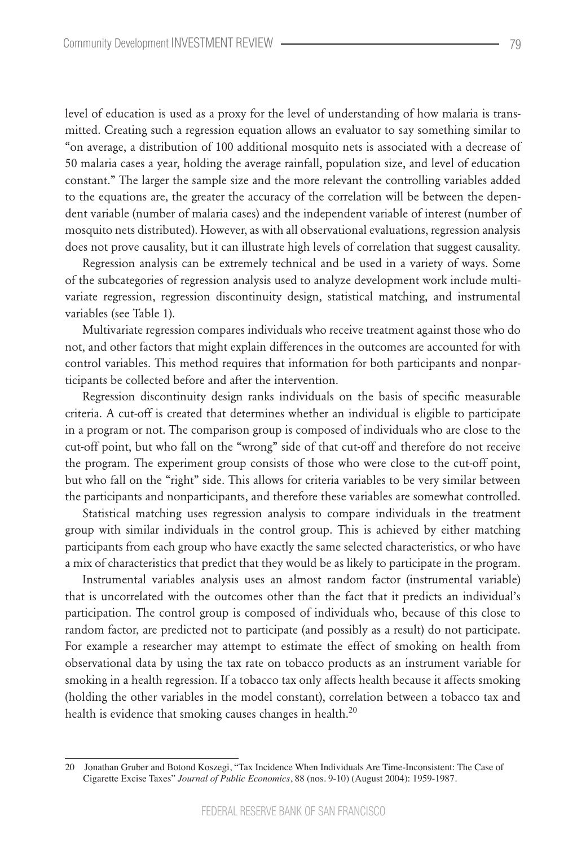level of education is used as a proxy for the level of understanding of how malaria is transmitted. Creating such a regression equation allows an evaluator to say something similar to "on average, a distribution of 100 additional mosquito nets is associated with a decrease of 50 malaria cases a year, holding the average rainfall, population size, and level of education constant." The larger the sample size and the more relevant the controlling variables added to the equations are, the greater the accuracy of the correlation will be between the dependent variable (number of malaria cases) and the independent variable of interest (number of mosquito nets distributed). However, as with all observational evaluations, regression analysis does not prove causality, but it can illustrate high levels of correlation that suggest causality.

Regression analysis can be extremely technical and be used in a variety of ways. Some of the subcategories of regression analysis used to analyze development work include multivariate regression, regression discontinuity design, statistical matching, and instrumental variables (see Table 1).

Multivariate regression compares individuals who receive treatment against those who do not, and other factors that might explain differences in the outcomes are accounted for with control variables. This method requires that information for both participants and nonparticipants be collected before and after the intervention.

Regression discontinuity design ranks individuals on the basis of specific measurable criteria. A cut-off is created that determines whether an individual is eligible to participate in a program or not. The comparison group is composed of individuals who are close to the cut-off point, but who fall on the "wrong" side of that cut-off and therefore do not receive the program. The experiment group consists of those who were close to the cut-off point, but who fall on the "right" side. This allows for criteria variables to be very similar between the participants and nonparticipants, and therefore these variables are somewhat controlled.

Statistical matching uses regression analysis to compare individuals in the treatment group with similar individuals in the control group. This is achieved by either matching participants from each group who have exactly the same selected characteristics, or who have a mix of characteristics that predict that they would be as likely to participate in the program.

Instrumental variables analysis uses an almost random factor (instrumental variable) that is uncorrelated with the outcomes other than the fact that it predicts an individual's participation. The control group is composed of individuals who, because of this close to random factor, are predicted not to participate (and possibly as a result) do not participate. For example a researcher may attempt to estimate the effect of smoking on health from observational data by using the tax rate on tobacco products as an instrument variable for smoking in a health regression. If a tobacco tax only affects health because it affects smoking (holding the other variables in the model constant), correlation between a tobacco tax and health is evidence that smoking causes changes in health.<sup>20</sup>

<sup>20</sup> Jonathan Gruber and Botond Koszegi, "Tax Incidence When Individuals Are Time-Inconsistent: The Case of Cigarette Excise Taxes" *Journal of Public Economics*, 88 (nos. 9-10) (August 2004): 1959-1987.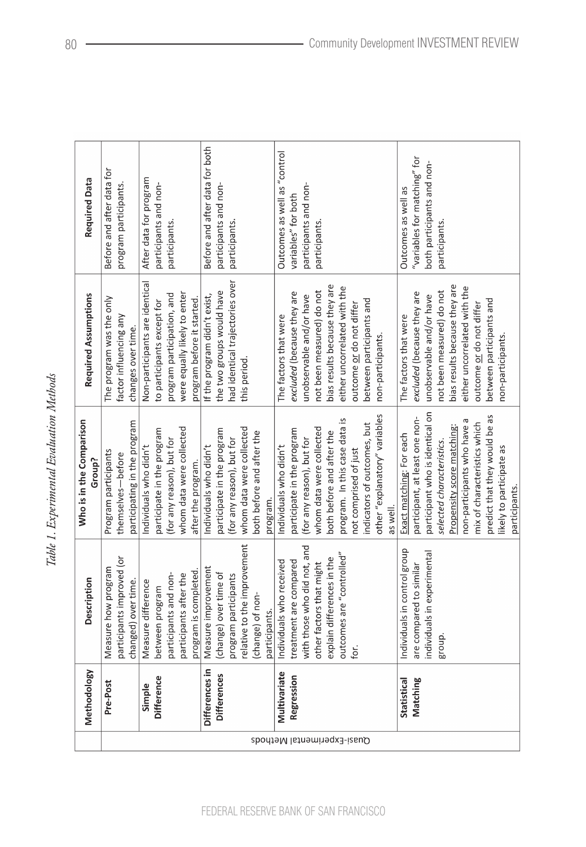Table 1. Experimental Evaluation Methods *Table 1. Experimental Evaluation Methods*

|                            | Methodology        | <b>Description</b>           | Who is in the Comparison<br>Group? | Required Assumptions            | Required Data                  |
|----------------------------|--------------------|------------------------------|------------------------------------|---------------------------------|--------------------------------|
|                            | Pre-Post           | Measure how program          | Program participants               | The program was the only        | Before and after data for      |
|                            |                    | participants improved (or    | themselves-before                  | factor influencing any          | program participants.          |
|                            |                    | changed) over time.          | participating in the program       | changes over time.              |                                |
|                            | Simple             | Measure difference           | Individuals who didn't             | Non-participants are identical  | After data for program         |
|                            | Difference         | between program              | participate in the program         | to participants except for      | participants and non-          |
|                            |                    | participants and non-        | (for any reason), but for          | program participation, and      | participants.                  |
|                            |                    | participants after the       | whom data were collected           | were equally likely to enter    |                                |
|                            |                    | program is completed.        | after the program.                 | program before it started.      |                                |
|                            | Differences in     | Measure improvement          | Individuals who didn't             | If the program didn't exist,    | Before and after data for both |
|                            | <b>Differences</b> | (change) over time of        | participate in the program         | the two groups would have       | participants and non-          |
|                            |                    | program participants         | (for any reason), but for          | had identical trajectories over | participants.                  |
|                            |                    | elative to the improvement   | whom data were collected           | this period.                    |                                |
|                            |                    | (change) of non-             | both before and after the          |                                 |                                |
|                            |                    | participants.                | program.                           |                                 |                                |
| Quasi-Experimental Methods | Multivariate       | Individuals who received     | Individuals who didn't             | The factors that were           | Outcomes as well as "control   |
|                            | Regression         | treatment are compared       | participate in the program         | excluded (because they are      | variables" for both            |
|                            |                    | with those who did not, and  | (for any reason), but for          | unobservable and/or have        | participants and non-          |
|                            |                    | other factors that might     | whom data were collected           | not been measured) do not       | participants.                  |
|                            |                    | explain differences in the   | both before and after the          | bias results because they are   |                                |
|                            |                    | outcomes are "controlled"    | program. In this case data is      | either uncorrelated with the    |                                |
|                            |                    | for.                         | not comprised of just              | outcome <u>or</u> do not differ |                                |
|                            |                    |                              | indicators of outcomes, but        | between participants and        |                                |
|                            |                    |                              | other "explanatory" variables      | non-participants.               |                                |
|                            |                    |                              | as well.                           |                                 |                                |
|                            | Statistical        | Individuals in control group | Exact matching: For each           | The factors that were           | Outcomes as well as            |
|                            | Matching           | are compared to similar      | participant, at least one non-     | excluded (because they are      | "variables for matching" for   |
|                            |                    | individuals in experimental  | participant who is identical on    | unobservable and/or have        | both participants and non-     |
|                            |                    | group.                       | selected characteristics.          | not been measured) do not       | participants.                  |
|                            |                    |                              | Propensity score matching:         | bias results because they are   |                                |
|                            |                    |                              | non-participants who have a        | either uncorrelated with the    |                                |
|                            |                    |                              | mix of characteristics which       | outcome or do not differ        |                                |
|                            |                    |                              | predict that they would be as      | between participants and        |                                |
|                            |                    |                              | likely to participate as           | non-participants.               |                                |
|                            |                    |                              | participants.                      |                                 |                                |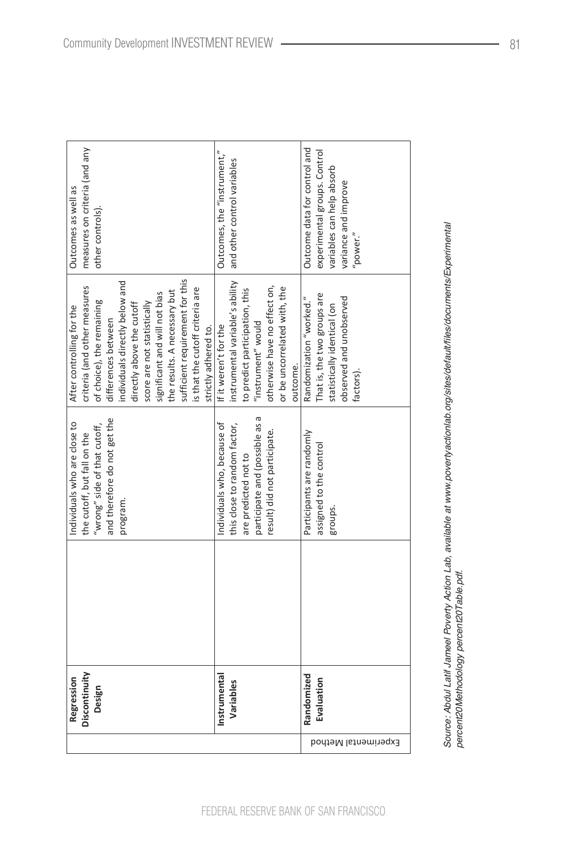| Discontinuity<br>Design |                                | After controlling for the       | Outcomes as well as           |
|-------------------------|--------------------------------|---------------------------------|-------------------------------|
|                         | the cutoff, but fall on the    | criteria (and other measures    | measures on criteria (and any |
|                         | "wrong" side of that cutoff,   | of choice), the remaining       | other controls).              |
|                         | and therefore do not get the   | differences between             |                               |
|                         | program.                       | individuals directly below and  |                               |
|                         |                                | directly above the cutoff       |                               |
|                         |                                | score are not statistically     |                               |
|                         |                                | significant and will not bias   |                               |
|                         |                                | the results. A necessary but    |                               |
|                         |                                | sufficient requirement for this |                               |
|                         |                                | is that the cutoff criteria are |                               |
|                         |                                | strictly adhered to.            |                               |
| Instrumental            | Individuals who, because of    | If it weren't for the           | Outcomes, the "instrument,"   |
| Variables               | this close to random factor,   | instrumental variable's ability | and other control variables   |
|                         | are predicted not to           | to predict participation, this  |                               |
|                         | participate and (possible as a | "instrument" would              |                               |
|                         | result) did not participate.   | otherwise have no effect on,    |                               |
|                         |                                | or be uncorrelated with, the    |                               |
|                         |                                | outcome.                        |                               |
| Randomized              | Participants are randomly      | Randomization "worked."         | Outcome data for control and  |
| Evaluation              | assigned to the control        | That is, the two groups are     | experimental groups. Control  |
|                         | groups.                        | statistically identical (on     | variables can help absorb     |
|                         |                                | observed and unobserved         | variance and improve          |
|                         |                                | factors).                       | power."                       |
|                         |                                |                                 |                               |
|                         |                                |                                 |                               |
|                         |                                |                                 |                               |

Source: Abdul Latif Jameel Poverty Action Lab, available at www.povertyactionlab.org/sites/default/files/documents/Experimental<br>percent20Methodology percent20Table.pdf. Source: Abdul Latif Jameel Poverty Action Lab, available at www.povertyactionlab.org/sites/default/files/documents/Experimental percent20Methodology percent20Table.pdf.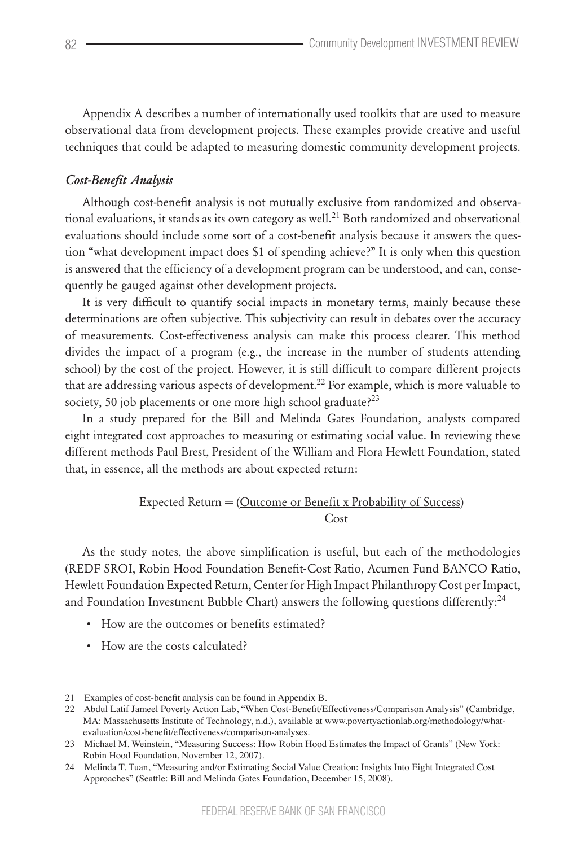Appendix A describes a number of internationally used toolkits that are used to measure observational data from development projects. These examples provide creative and useful techniques that could be adapted to measuring domestic community development projects.

## *Cost-Benefit Analysis*

Although cost-benefit analysis is not mutually exclusive from randomized and observational evaluations, it stands as its own category as well.<sup>21</sup> Both randomized and observational evaluations should include some sort of a cost-benefit analysis because it answers the question "what development impact does \$1 of spending achieve?" It is only when this question is answered that the efficiency of a development program can be understood, and can, consequently be gauged against other development projects.

It is very difficult to quantify social impacts in monetary terms, mainly because these determinations are often subjective. This subjectivity can result in debates over the accuracy of measurements. Cost-effectiveness analysis can make this process clearer. This method divides the impact of a program (e.g., the increase in the number of students attending school) by the cost of the project. However, it is still difficult to compare different projects that are addressing various aspects of development.<sup>22</sup> For example, which is more valuable to society, 50 job placements or one more high school graduate?<sup>23</sup>

In a study prepared for the Bill and Melinda Gates Foundation, analysts compared eight integrated cost approaches to measuring or estimating social value. In reviewing these different methods Paul Brest, President of the William and Flora Hewlett Foundation, stated that, in essence, all the methods are about expected return:

## Expected Return = (Outcome or Benefit x Probability of Success) **Cost**

As the study notes, the above simplification is useful, but each of the methodologies (REDF SROI, Robin Hood Foundation Benefit-Cost Ratio, Acumen Fund BANCO Ratio, Hewlett Foundation Expected Return, Center for High Impact Philanthropy Cost per Impact, and Foundation Investment Bubble Chart) answers the following questions differently:<sup>24</sup>

- How are the outcomes or benefits estimated?
- How are the costs calculated?

<sup>21</sup> Examples of cost-benefit analysis can be found in Appendix B.

<sup>22</sup> Abdul Latif Jameel Poverty Action Lab, "When Cost-Benefit/Effectiveness/Comparison Analysis" (Cambridge, MA: Massachusetts Institute of Technology, n.d.), available at www.povertyactionlab.org/methodology/whatevaluation/cost-benefit/effectiveness/comparison-analyses.

<sup>23</sup> Michael M. Weinstein, "Measuring Success: How Robin Hood Estimates the Impact of Grants" (New York: Robin Hood Foundation, November 12, 2007).

<sup>24</sup> Melinda T. Tuan, "Measuring and/or Estimating Social Value Creation: Insights Into Eight Integrated Cost Approaches" (Seattle: Bill and Melinda Gates Foundation, December 15, 2008).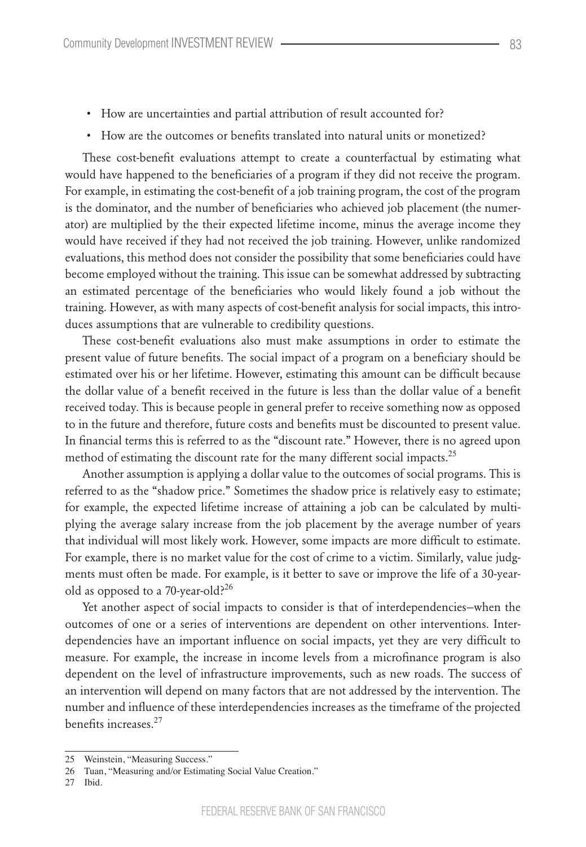- How are uncertainties and partial attribution of result accounted for?
- How are the outcomes or benefits translated into natural units or monetized?

These cost-benefit evaluations attempt to create a counterfactual by estimating what would have happened to the beneficiaries of a program if they did not receive the program. For example, in estimating the cost-benefit of a job training program, the cost of the program is the dominator, and the number of beneficiaries who achieved job placement (the numerator) are multiplied by the their expected lifetime income, minus the average income they would have received if they had not received the job training. However, unlike randomized evaluations, this method does not consider the possibility that some beneficiaries could have become employed without the training. This issue can be somewhat addressed by subtracting an estimated percentage of the beneficiaries who would likely found a job without the training. However, as with many aspects of cost-benefit analysis for social impacts, this introduces assumptions that are vulnerable to credibility questions.

These cost-benefit evaluations also must make assumptions in order to estimate the present value of future benefits. The social impact of a program on a beneficiary should be estimated over his or her lifetime. However, estimating this amount can be difficult because the dollar value of a benefit received in the future is less than the dollar value of a benefit received today. This is because people in general prefer to receive something now as opposed to in the future and therefore, future costs and benefits must be discounted to present value. In financial terms this is referred to as the "discount rate." However, there is no agreed upon method of estimating the discount rate for the many different social impacts.<sup>25</sup>

Another assumption is applying a dollar value to the outcomes of social programs. This is referred to as the "shadow price." Sometimes the shadow price is relatively easy to estimate; for example, the expected lifetime increase of attaining a job can be calculated by multiplying the average salary increase from the job placement by the average number of years that individual will most likely work. However, some impacts are more difficult to estimate. For example, there is no market value for the cost of crime to a victim. Similarly, value judgments must often be made. For example, is it better to save or improve the life of a 30-yearold as opposed to a 70-year-old?<sup>26</sup>

Yet another aspect of social impacts to consider is that of interdependencies—when the outcomes of one or a series of interventions are dependent on other interventions. Interdependencies have an important influence on social impacts, yet they are very difficult to measure. For example, the increase in income levels from a microfinance program is also dependent on the level of infrastructure improvements, such as new roads. The success of an intervention will depend on many factors that are not addressed by the intervention. The number and influence of these interdependencies increases as the timeframe of the projected benefits increases<sup>27</sup>

27 Ibid.

<sup>25</sup> Weinstein, "Measuring Success."

<sup>26</sup> Tuan, "Measuring and/or Estimating Social Value Creation."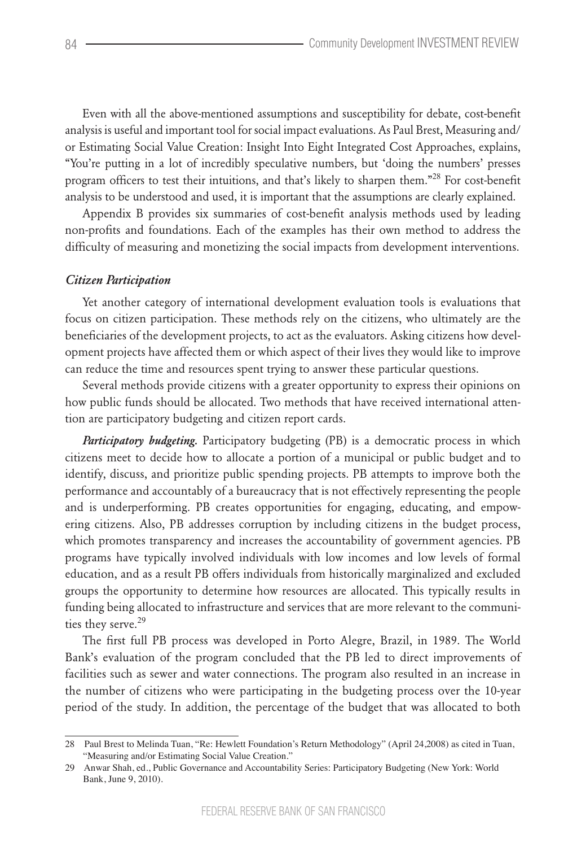Even with all the above-mentioned assumptions and susceptibility for debate, cost-benefit analysis is useful and important tool for social impact evaluations. As Paul Brest, Measuring and/ or Estimating Social Value Creation: Insight Into Eight Integrated Cost Approaches, explains, "You're putting in a lot of incredibly speculative numbers, but 'doing the numbers' presses program officers to test their intuitions, and that's likely to sharpen them."<sup>28</sup> For cost-benefit analysis to be understood and used, it is important that the assumptions are clearly explained.

Appendix B provides six summaries of cost-benefit analysis methods used by leading non-profits and foundations. Each of the examples has their own method to address the difficulty of measuring and monetizing the social impacts from development interventions.

#### *Citizen Participation*

Yet another category of international development evaluation tools is evaluations that focus on citizen participation. These methods rely on the citizens, who ultimately are the beneficiaries of the development projects, to act as the evaluators. Asking citizens how development projects have affected them or which aspect of their lives they would like to improve can reduce the time and resources spent trying to answer these particular questions.

Several methods provide citizens with a greater opportunity to express their opinions on how public funds should be allocated. Two methods that have received international attention are participatory budgeting and citizen report cards.

*Participatory budgeting*. Participatory budgeting (PB) is a democratic process in which citizens meet to decide how to allocate a portion of a municipal or public budget and to identify, discuss, and prioritize public spending projects. PB attempts to improve both the performance and accountably of a bureaucracy that is not effectively representing the people and is underperforming. PB creates opportunities for engaging, educating, and empowering citizens. Also, PB addresses corruption by including citizens in the budget process, which promotes transparency and increases the accountability of government agencies. PB programs have typically involved individuals with low incomes and low levels of formal education, and as a result PB offers individuals from historically marginalized and excluded groups the opportunity to determine how resources are allocated. This typically results in funding being allocated to infrastructure and services that are more relevant to the communities they serve.<sup>29</sup>

The first full PB process was developed in Porto Alegre, Brazil, in 1989. The World Bank's evaluation of the program concluded that the PB led to direct improvements of facilities such as sewer and water connections. The program also resulted in an increase in the number of citizens who were participating in the budgeting process over the 10-year period of the study. In addition, the percentage of the budget that was allocated to both

<sup>28</sup> Paul Brest to Melinda Tuan, "Re: Hewlett Foundation's Return Methodology" (April 24,2008) as cited in Tuan, "Measuring and/or Estimating Social Value Creation."

<sup>29</sup> Anwar Shah, ed., Public Governance and Accountability Series: Participatory Budgeting (New York: World Bank, June 9, 2010).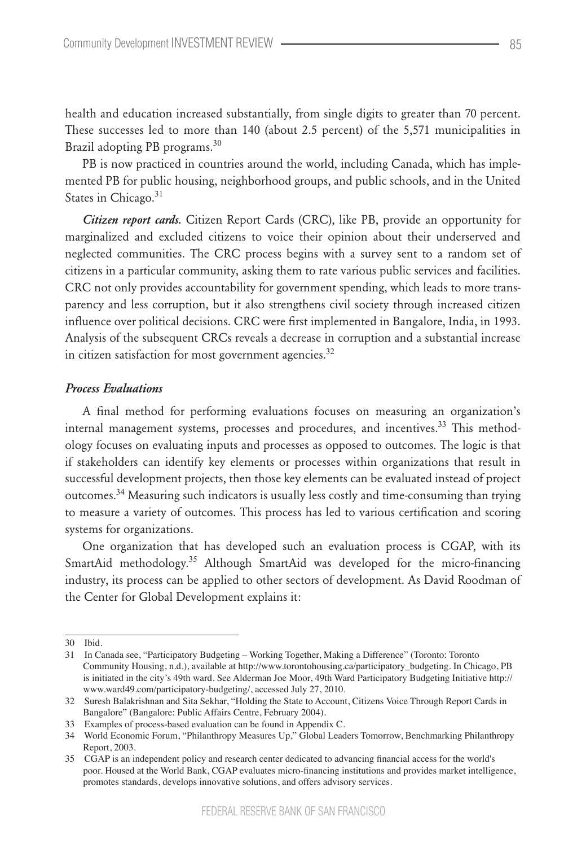health and education increased substantially, from single digits to greater than 70 percent. These successes led to more than 140 (about 2.5 percent) of the 5,571 municipalities in Brazil adopting PB programs.<sup>30</sup>

PB is now practiced in countries around the world, including Canada, which has implemented PB for public housing, neighborhood groups, and public schools, and in the United States in Chicago.<sup>31</sup>

*Citizen report cards.* Citizen Report Cards (CRC), like PB, provide an opportunity for marginalized and excluded citizens to voice their opinion about their underserved and neglected communities. The CRC process begins with a survey sent to a random set of citizens in a particular community, asking them to rate various public services and facilities. CRC not only provides accountability for government spending, which leads to more transparency and less corruption, but it also strengthens civil society through increased citizen influence over political decisions. CRC were first implemented in Bangalore, India, in 1993. Analysis of the subsequent CRCs reveals a decrease in corruption and a substantial increase in citizen satisfaction for most government agencies. $32$ 

#### *Process Evaluations*

A final method for performing evaluations focuses on measuring an organization's internal management systems, processes and procedures, and incentives.<sup>33</sup> This methodology focuses on evaluating inputs and processes as opposed to outcomes. The logic is that if stakeholders can identify key elements or processes within organizations that result in successful development projects, then those key elements can be evaluated instead of project outcomes.<sup>34</sup> Measuring such indicators is usually less costly and time-consuming than trying to measure a variety of outcomes. This process has led to various certification and scoring systems for organizations.

One organization that has developed such an evaluation process is CGAP, with its SmartAid methodology.<sup>35</sup> Although SmartAid was developed for the micro-financing industry, its process can be applied to other sectors of development. As David Roodman of the Center for Global Development explains it:

<sup>30</sup> Ibid.

<sup>31</sup> In Canada see, "Participatory Budgeting – Working Together, Making a Difference" (Toronto: Toronto Community Housing, n.d.), available at http://www.torontohousing.ca/participatory\_budgeting. In Chicago, PB is initiated in the city's 49th ward. See Alderman Joe Moor, 49th Ward Participatory Budgeting Initiative http:// www.ward49.com/participatory-budgeting/, accessed July 27, 2010.

<sup>32</sup> Suresh Balakrishnan and Sita Sekhar, "Holding the State to Account, Citizens Voice Through Report Cards in Bangalore" (Bangalore: Public Affairs Centre, February 2004).

<sup>33</sup> Examples of process-based evaluation can be found in Appendix C.

<sup>34</sup> World Economic Forum, "Philanthropy Measures Up," Global Leaders Tomorrow, Benchmarking Philanthropy Report, 2003.

<sup>35</sup> CGAP is an independent policy and research center dedicated to advancing financial access for the world's poor. Housed at the World Bank, CGAP evaluates micro-financing institutions and provides market intelligence, promotes standards, develops innovative solutions, and offers advisory services.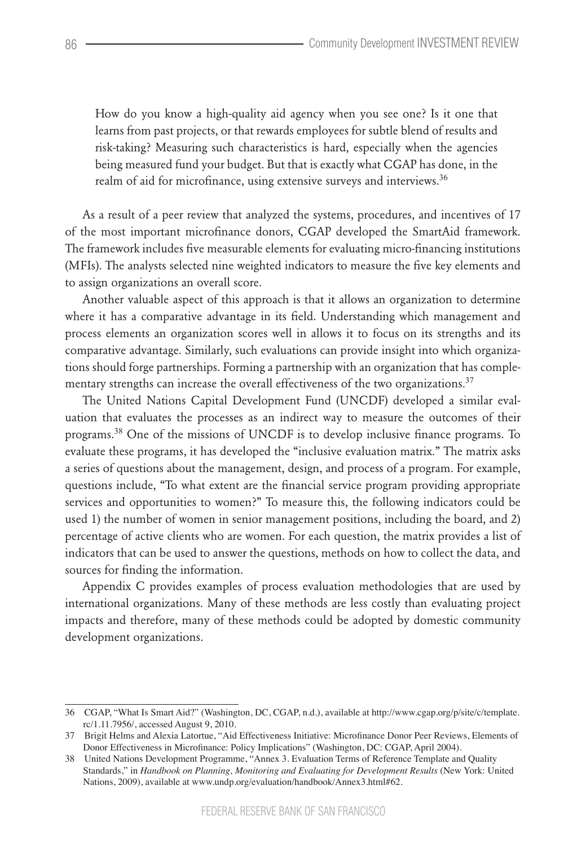How do you know a high-quality aid agency when you see one? Is it one that learns from past projects, or that rewards employees for subtle blend of results and risk-taking? Measuring such characteristics is hard, especially when the agencies being measured fund your budget. But that is exactly what CGAP has done, in the realm of aid for microfinance, using extensive surveys and interviews.<sup>36</sup>

As a result of a peer review that analyzed the systems, procedures, and incentives of 17 of the most important microfinance donors, CGAP developed the SmartAid framework. The framework includes five measurable elements for evaluating micro-financing institutions (MFIs). The analysts selected nine weighted indicators to measure the five key elements and to assign organizations an overall score.

Another valuable aspect of this approach is that it allows an organization to determine where it has a comparative advantage in its field. Understanding which management and process elements an organization scores well in allows it to focus on its strengths and its comparative advantage. Similarly, such evaluations can provide insight into which organizations should forge partnerships. Forming a partnership with an organization that has complementary strengths can increase the overall effectiveness of the two organizations.<sup>37</sup>

The United Nations Capital Development Fund (UNCDF) developed a similar evaluation that evaluates the processes as an indirect way to measure the outcomes of their programs.<sup>38</sup> One of the missions of UNCDF is to develop inclusive finance programs. To evaluate these programs, it has developed the "inclusive evaluation matrix." The matrix asks a series of questions about the management, design, and process of a program. For example, questions include, "To what extent are the financial service program providing appropriate services and opportunities to women?" To measure this, the following indicators could be used 1) the number of women in senior management positions, including the board, and 2) percentage of active clients who are women. For each question, the matrix provides a list of indicators that can be used to answer the questions, methods on how to collect the data, and sources for finding the information.

Appendix C provides examples of process evaluation methodologies that are used by international organizations. Many of these methods are less costly than evaluating project impacts and therefore, many of these methods could be adopted by domestic community development organizations.

<sup>36</sup> CGAP, "What Is Smart Aid?" (Washington, DC, CGAP, n.d.), available at http://www.cgap.org/p/site/c/template. rc/1.11.7956/, accessed August 9, 2010.

<sup>37</sup> Brigit Helms and Alexia Latortue, "Aid Effectiveness Initiative: Microfinance Donor Peer Reviews, Elements of Donor Effectiveness in Microfinance: Policy Implications" (Washington, DC: CGAP, April 2004).

<sup>38</sup> United Nations Development Programme, "Annex 3. Evaluation Terms of Reference Template and Quality Standards," in *Handbook on Planning, Monitoring and Evaluating for Development Results* (New York: United Nations, 2009), available at www.undp.org/evaluation/handbook/Annex3.html#62.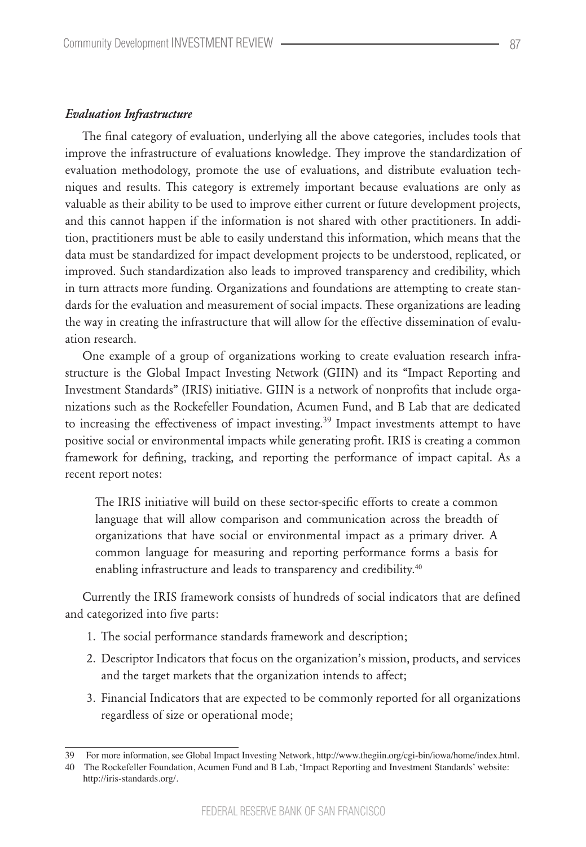#### *Evaluation Infrastructure*

The final category of evaluation, underlying all the above categories, includes tools that improve the infrastructure of evaluations knowledge. They improve the standardization of evaluation methodology, promote the use of evaluations, and distribute evaluation techniques and results. This category is extremely important because evaluations are only as valuable as their ability to be used to improve either current or future development projects, and this cannot happen if the information is not shared with other practitioners. In addition, practitioners must be able to easily understand this information, which means that the data must be standardized for impact development projects to be understood, replicated, or improved. Such standardization also leads to improved transparency and credibility, which in turn attracts more funding. Organizations and foundations are attempting to create standards for the evaluation and measurement of social impacts. These organizations are leading the way in creating the infrastructure that will allow for the effective dissemination of evaluation research.

One example of a group of organizations working to create evaluation research infrastructure is the Global Impact Investing Network (GIIN) and its "Impact Reporting and Investment Standards" (IRIS) initiative. GIIN is a network of nonprofits that include organizations such as the Rockefeller Foundation, Acumen Fund, and B Lab that are dedicated to increasing the effectiveness of impact investing.<sup>39</sup> Impact investments attempt to have positive social or environmental impacts while generating profit. IRIS is creating a common framework for defining, tracking, and reporting the performance of impact capital. As a recent report notes:

The IRIS initiative will build on these sector-specific efforts to create a common language that will allow comparison and communication across the breadth of organizations that have social or environmental impact as a primary driver. A common language for measuring and reporting performance forms a basis for enabling infrastructure and leads to transparency and credibility.<sup>40</sup>

Currently the IRIS framework consists of hundreds of social indicators that are defined and categorized into five parts:

- 1. The social performance standards framework and description;
- 2. Descriptor Indicators that focus on the organization's mission, products, and services and the target markets that the organization intends to affect;
- 3. Financial Indicators that are expected to be commonly reported for all organizations regardless of size or operational mode;

<sup>39</sup>  For more information, see Global Impact Investing Network, http://www.thegiin.org/cgi-bin/iowa/home/index.html.

<sup>40</sup> The Rockefeller Foundation, Acumen Fund and B Lab, 'Impact Reporting and Investment Standards' website: http://iris-standards.org/.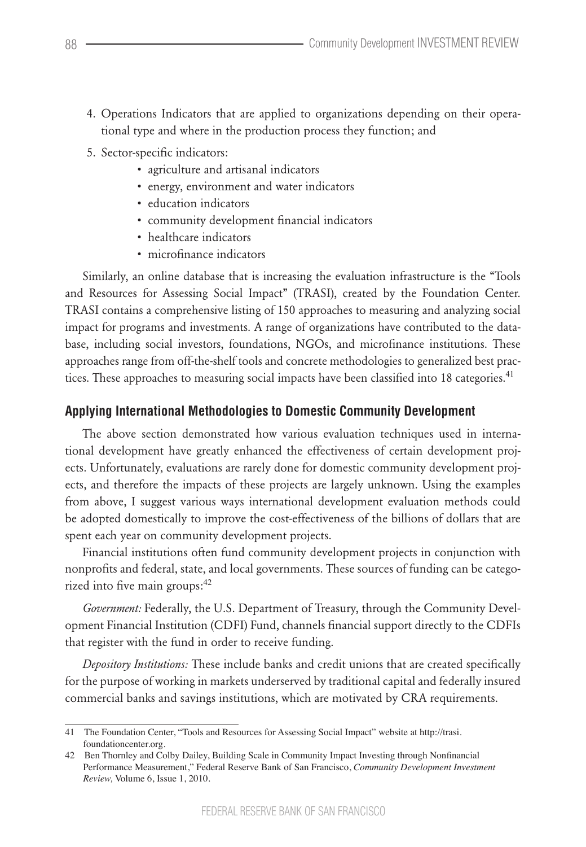- 4. Operations Indicators that are applied to organizations depending on their operational type and where in the production process they function; and
- 5. Sector-specific indicators:
	- agriculture and artisanal indicators
	- energy, environment and water indicators
	- education indicators
	- community development financial indicators
	- healthcare indicators
	- microfinance indicators

Similarly, an online database that is increasing the evaluation infrastructure is the "Tools and Resources for Assessing Social Impact" (TRASI), created by the Foundation Center. TRASI contains a comprehensive listing of 150 approaches to measuring and analyzing social impact for programs and investments. A range of organizations have contributed to the database, including social investors, foundations, NGOs, and microfinance institutions. These approaches range from off-the-shelf tools and concrete methodologies to generalized best practices. These approaches to measuring social impacts have been classified into 18 categories.<sup>41</sup>

## **Applying International Methodologies to Domestic Community Development**

The above section demonstrated how various evaluation techniques used in international development have greatly enhanced the effectiveness of certain development projects. Unfortunately, evaluations are rarely done for domestic community development projects, and therefore the impacts of these projects are largely unknown. Using the examples from above, I suggest various ways international development evaluation methods could be adopted domestically to improve the cost-effectiveness of the billions of dollars that are spent each year on community development projects.

Financial institutions often fund community development projects in conjunction with nonprofits and federal, state, and local governments. These sources of funding can be categorized into five main groups:<sup>42</sup>

*Government:* Federally, the U.S. Department of Treasury, through the Community Development Financial Institution (CDFI) Fund, channels financial support directly to the CDFIs that register with the fund in order to receive funding.

*Depository Institutions:* These include banks and credit unions that are created specifically for the purpose of working in markets underserved by traditional capital and federally insured commercial banks and savings institutions, which are motivated by CRA requirements.

<sup>41</sup> The Foundation Center, "Tools and Resources for Assessing Social Impact" website at http://trasi. foundationcenter.org.

<sup>42</sup> Ben Thornley and Colby Dailey, Building Scale in Community Impact Investing through Nonfinancial Performance Measurement," Federal Reserve Bank of San Francisco, *Community Development Investment Review,* Volume 6, Issue 1, 2010.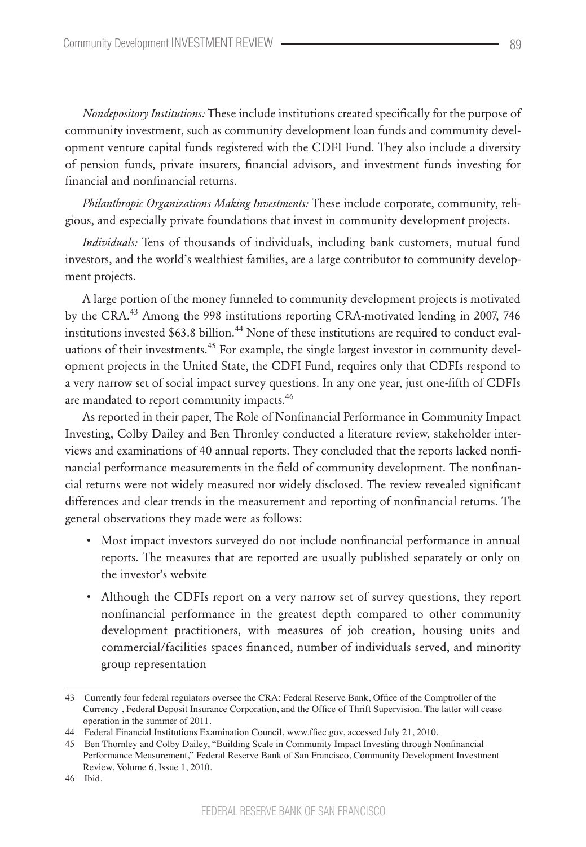*Nondepository Institutions:* These include institutions created specifically for the purpose of community investment, such as community development loan funds and community development venture capital funds registered with the CDFI Fund. They also include a diversity of pension funds, private insurers, financial advisors, and investment funds investing for financial and nonfinancial returns.

*Philanthropic Organizations Making Investments:* These include corporate, community, religious, and especially private foundations that invest in community development projects.

*Individuals:* Tens of thousands of individuals, including bank customers, mutual fund investors, and the world's wealthiest families, are a large contributor to community development projects.

A large portion of the money funneled to community development projects is motivated by the CRA.<sup>43</sup> Among the 998 institutions reporting CRA-motivated lending in 2007, 746 institutions invested  $$63.8$  billion.<sup>44</sup> None of these institutions are required to conduct evaluations of their investments.<sup>45</sup> For example, the single largest investor in community development projects in the United State, the CDFI Fund, requires only that CDFIs respond to a very narrow set of social impact survey questions. In any one year, just one-fifth of CDFIs are mandated to report community impacts.<sup>46</sup>

As reported in their paper, The Role of Nonfinancial Performance in Community Impact Investing, Colby Dailey and Ben Thronley conducted a literature review, stakeholder interviews and examinations of 40 annual reports. They concluded that the reports lacked nonfinancial performance measurements in the field of community development. The nonfinancial returns were not widely measured nor widely disclosed. The review revealed significant differences and clear trends in the measurement and reporting of nonfinancial returns. The general observations they made were as follows:

- Most impact investors surveyed do not include nonfinancial performance in annual reports. The measures that are reported are usually published separately or only on the investor's website
- Although the CDFIs report on a very narrow set of survey questions, they report nonfinancial performance in the greatest depth compared to other community development practitioners, with measures of job creation, housing units and commercial/facilities spaces financed, number of individuals served, and minority group representation

<sup>43</sup> Currently four federal regulators oversee the CRA: Federal Reserve Bank, Office of the Comptroller of the Currency , Federal Deposit Insurance Corporation, and the Office of Thrift Supervision. The latter will cease operation in the summer of 2011.

<sup>44</sup> Federal Financial Institutions Examination Council, www.ffiec.gov, accessed July 21, 2010.

<sup>45</sup> Ben Thornley and Colby Dailey, "Building Scale in Community Impact Investing through Nonfinancial Performance Measurement," Federal Reserve Bank of San Francisco, Community Development Investment Review, Volume 6, Issue 1, 2010.

<sup>46</sup> Ibid.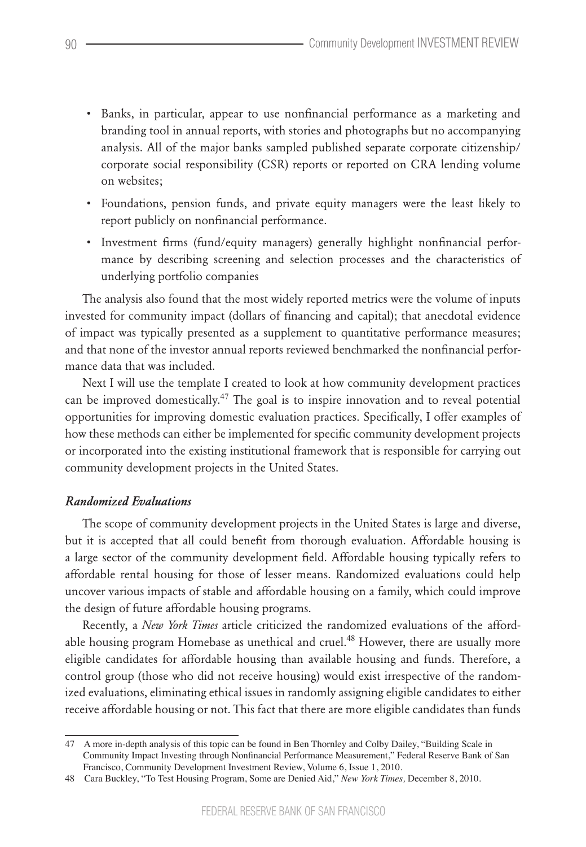- Banks, in particular, appear to use nonfinancial performance as a marketing and branding tool in annual reports, with stories and photographs but no accompanying analysis. All of the major banks sampled published separate corporate citizenship/ corporate social responsibility (CSR) reports or reported on CRA lending volume on websites;
- Foundations, pension funds, and private equity managers were the least likely to report publicly on nonfinancial performance.
- Investment firms (fund/equity managers) generally highlight nonfinancial performance by describing screening and selection processes and the characteristics of underlying portfolio companies

The analysis also found that the most widely reported metrics were the volume of inputs invested for community impact (dollars of financing and capital); that anecdotal evidence of impact was typically presented as a supplement to quantitative performance measures; and that none of the investor annual reports reviewed benchmarked the nonfinancial performance data that was included.

Next I will use the template I created to look at how community development practices can be improved domestically.<sup>47</sup> The goal is to inspire innovation and to reveal potential opportunities for improving domestic evaluation practices. Specifically, I offer examples of how these methods can either be implemented for specific community development projects or incorporated into the existing institutional framework that is responsible for carrying out community development projects in the United States.

## *Randomized Evaluations*

The scope of community development projects in the United States is large and diverse, but it is accepted that all could benefit from thorough evaluation. Affordable housing is a large sector of the community development field. Affordable housing typically refers to affordable rental housing for those of lesser means. Randomized evaluations could help uncover various impacts of stable and affordable housing on a family, which could improve the design of future affordable housing programs.

Recently, a *New York Times* article criticized the randomized evaluations of the affordable housing program Homebase as unethical and cruel.<sup>48</sup> However, there are usually more eligible candidates for affordable housing than available housing and funds. Therefore, a control group (those who did not receive housing) would exist irrespective of the randomized evaluations, eliminating ethical issues in randomly assigning eligible candidates to either receive affordable housing or not. This fact that there are more eligible candidates than funds

<sup>47</sup> A more in-depth analysis of this topic can be found in Ben Thornley and Colby Dailey, "Building Scale in Community Impact Investing through Nonfinancial Performance Measurement," Federal Reserve Bank of San Francisco, Community Development Investment Review, Volume 6, Issue 1, 2010.

<sup>48</sup> Cara Buckley, "To Test Housing Program, Some are Denied Aid," *New York Times,* December 8, 2010.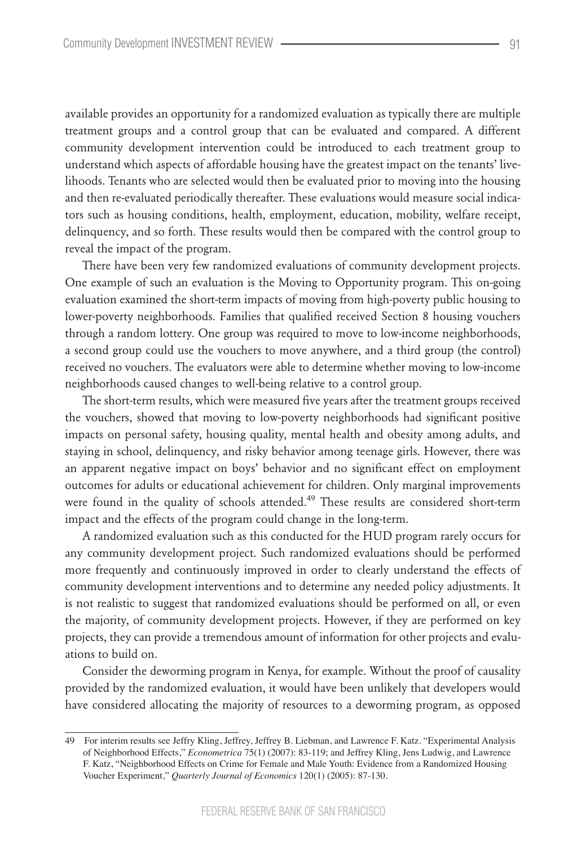available provides an opportunity for a randomized evaluation as typically there are multiple treatment groups and a control group that can be evaluated and compared. A different community development intervention could be introduced to each treatment group to understand which aspects of affordable housing have the greatest impact on the tenants' livelihoods. Tenants who are selected would then be evaluated prior to moving into the housing and then re-evaluated periodically thereafter. These evaluations would measure social indicators such as housing conditions, health, employment, education, mobility, welfare receipt, delinquency, and so forth. These results would then be compared with the control group to reveal the impact of the program.

There have been very few randomized evaluations of community development projects. One example of such an evaluation is the Moving to Opportunity program. This on-going evaluation examined the short-term impacts of moving from high-poverty public housing to lower-poverty neighborhoods. Families that qualified received Section 8 housing vouchers through a random lottery. One group was required to move to low-income neighborhoods, a second group could use the vouchers to move anywhere, and a third group (the control) received no vouchers. The evaluators were able to determine whether moving to low-income neighborhoods caused changes to well-being relative to a control group.

The short-term results, which were measured five years after the treatment groups received the vouchers, showed that moving to low-poverty neighborhoods had significant positive impacts on personal safety, housing quality, mental health and obesity among adults, and staying in school, delinquency, and risky behavior among teenage girls. However, there was an apparent negative impact on boys' behavior and no significant effect on employment outcomes for adults or educational achievement for children. Only marginal improvements were found in the quality of schools attended.<sup>49</sup> These results are considered short-term impact and the effects of the program could change in the long-term.

A randomized evaluation such as this conducted for the HUD program rarely occurs for any community development project. Such randomized evaluations should be performed more frequently and continuously improved in order to clearly understand the effects of community development interventions and to determine any needed policy adjustments. It is not realistic to suggest that randomized evaluations should be performed on all, or even the majority, of community development projects. However, if they are performed on key projects, they can provide a tremendous amount of information for other projects and evaluations to build on.

Consider the deworming program in Kenya, for example. Without the proof of causality provided by the randomized evaluation, it would have been unlikely that developers would have considered allocating the majority of resources to a deworming program, as opposed

<sup>49</sup> For interim results see Jeffry Kling, Jeffrey, Jeffrey B. Liebman, and Lawrence F. Katz. "Experimental Analysis of Neighborhood Effects," *Econometrica* 75(1) (2007): 83-119; and Jeffrey Kling, Jens Ludwig, and Lawrence F. Katz, "Neighborhood Effects on Crime for Female and Male Youth: Evidence from a Randomized Housing Voucher Experiment," *Quarterly Journal of Economics* 120(1) (2005): 87-130.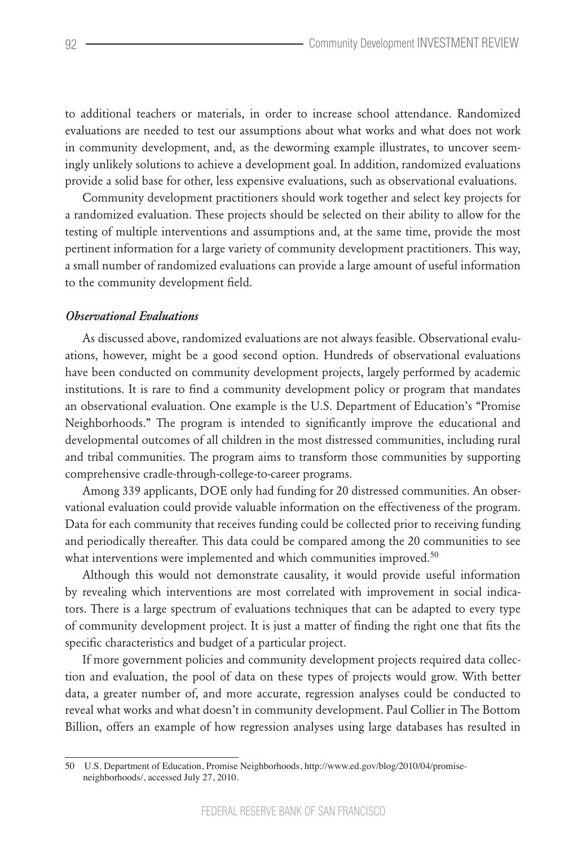to additional teachers or materials, in order to increase school attendance. Randomized evaluations are needed to test our assumptions about what works and what does not work in community development, and, as the deworming example illustrates, to uncover seemingly unlikely solutions to achieve a development goal. In addition, randomized evaluations provide a solid base for other, less expensive evaluations, such as observational evaluations.

Community development practitioners should work together and select key projects for a randomized evaluation. These projects should be selected on their ability to allow for the testing of multiple interventions and assumptions and, at the same time, provide the most pertinent information for a large variety of community development practitioners. This way, a small number of randomized evaluations can provide a large amount of useful information to the community development field.

#### *Observational Evaluations*

As discussed above, randomized evaluations are not always feasible. Observational evaluations, however, might be a good second option. Hundreds of observational evaluations have been conducted on community development projects, largely performed by academic institutions. It is rare to find a community development policy or program that mandates an observational evaluation. One example is the U.S. Department of Education's "Promise Neighborhoods." The program is intended to significantly improve the educational and developmental outcomes of all children in the most distressed communities, including rural and tribal communities. The program aims to transform those communities by supporting comprehensive cradle-through-college-to-career programs.

Among 339 applicants, DOE only had funding for 20 distressed communities. An observational evaluation could provide valuable information on the effectiveness of the program. Data for each community that receives funding could be collected prior to receiving funding and periodically thereafter. This data could be compared among the 20 communities to see what interventions were implemented and which communities improved.<sup>50</sup>

Although this would not demonstrate causality, it would provide useful information by revealing which interventions are most correlated with improvement in social indicators. There is a large spectrum of evaluations techniques that can be adapted to every type of community development project. It is just a matter of finding the right one that fits the specific characteristics and budget of a particular project.

If more government policies and community development projects required data collection and evaluation, the pool of data on these types of projects would grow. With better data, a greater number of, and more accurate, regression analyses could be conducted to reveal what works and what doesn't in community development. Paul Collier in The Bottom Billion, offers an example of how regression analyses using large databases has resulted in

<sup>50</sup> U.S. Department of Education, Promise Neighborhoods, http://www.ed.gov/blog/2010/04/promiseneighborhoods/, accessed July 27, 2010.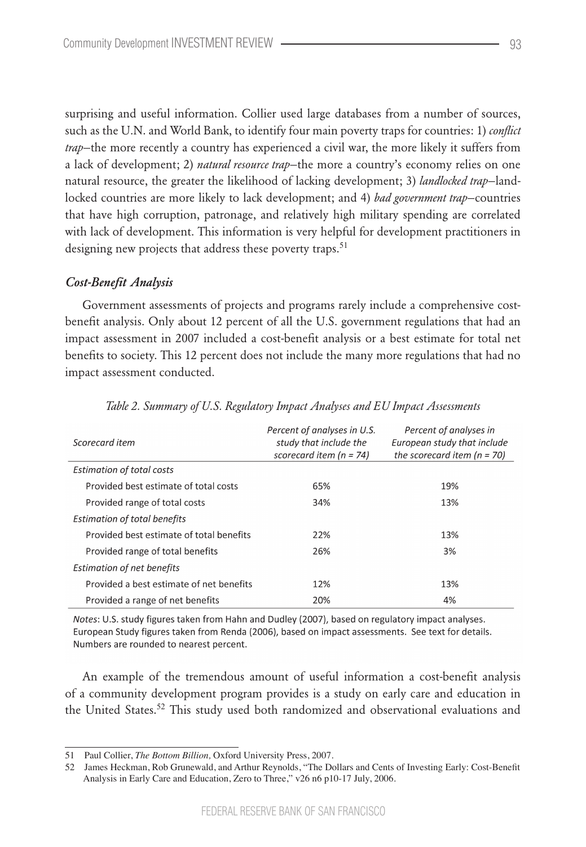surprising and useful information. Collier used large databases from a number of sources, such as the U.N. and World Bank, to identify four main poverty traps for countries: 1) *conflict trap*—the more recently a country has experienced a civil war, the more likely it suffers from a lack of development; 2) *natural resource trap*—the more a country's economy relies on one natural resource, the greater the likelihood of lacking development; 3) *landlocked trap*—landlocked countries are more likely to lack development; and 4) *bad government trap*—countries that have high corruption, patronage, and relatively high military spending are correlated with lack of development. This information is very helpful for development practitioners in designing new projects that address these poverty traps.<sup>51</sup>

#### *Cost-Benefit Analysis*

Government assessments of projects and programs rarely include a comprehensive costbenefit analysis. Only about 12 percent of all the U.S. government regulations that had an impact assessment in 2007 included a cost-benefit analysis or a best estimate for total net benefits to society. This 12 percent does not include the many more regulations that had no impact assessment conducted.

| Scorecard item                           | Percent of analyses in U.S.<br>study that include the<br>scorecard item ( $n = 74$ ) | Percent of analyses in<br>European study that include<br>the scorecard item ( $n = 70$ ) |
|------------------------------------------|--------------------------------------------------------------------------------------|------------------------------------------------------------------------------------------|
| <b>Estimation of total costs</b>         |                                                                                      |                                                                                          |
| Provided best estimate of total costs    | 65%                                                                                  | 19%                                                                                      |
| Provided range of total costs            | 34%                                                                                  | 13%                                                                                      |
| <b>Estimation of total benefits</b>      |                                                                                      |                                                                                          |
| Provided best estimate of total benefits | 22%                                                                                  | 13%                                                                                      |
| Provided range of total benefits         | 26%                                                                                  | 3%                                                                                       |
| <b>Estimation of net benefits</b>        |                                                                                      |                                                                                          |
| Provided a best estimate of net benefits | 12%                                                                                  | 13%                                                                                      |
| Provided a range of net benefits         | 20%                                                                                  | 4%                                                                                       |

*Table 2. Summary of U.S. Regulatory Impact Analyses and EU Impact Assessments*

Notes: U.S. study figures taken from Hahn and Dudley (2007), based on regulatory impact analyses. European Study figures taken from Renda (2006), based on impact assessments. See text for details. Numbers are rounded to nearest percent.

An example of the tremendous amount of useful information a cost-benefit analysis of a community development program provides is a study on early care and education in the United States.<sup>52</sup> This study used both randomized and observational evaluations and

<sup>51</sup> Paul Collier, *The Bottom Billion,* Oxford University Press, 2007.

<sup>52</sup> James Heckman, Rob Grunewald, and Arthur Reynolds, "The Dollars and Cents of Investing Early: Cost-Benefit Analysis in Early Care and Education, Zero to Three," v26 n6 p10-17 July, 2006.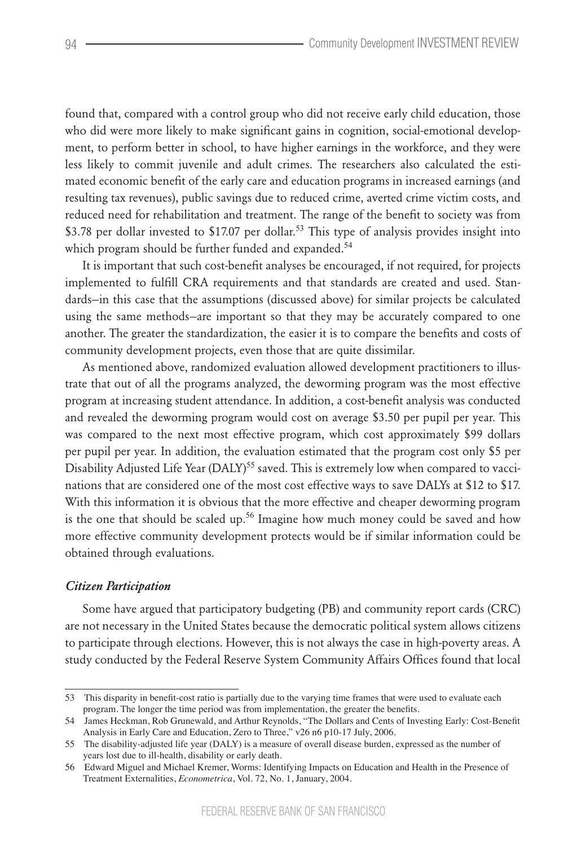found that, compared with a control group who did not receive early child education, those who did were more likely to make significant gains in cognition, social-emotional development, to perform better in school, to have higher earnings in the workforce, and they were less likely to commit juvenile and adult crimes. The researchers also calculated the estimated economic benefit of the early care and education programs in increased earnings (and resulting tax revenues), public savings due to reduced crime, averted crime victim costs, and reduced need for rehabilitation and treatment. The range of the benefit to society was from \$3.78 per dollar invested to \$17.07 per dollar.<sup>53</sup> This type of analysis provides insight into which program should be further funded and expanded.<sup>54</sup>

It is important that such cost-benefit analyses be encouraged, if not required, for projects implemented to fulfill CRA requirements and that standards are created and used. Standards—in this case that the assumptions (discussed above) for similar projects be calculated using the same methods—are important so that they may be accurately compared to one another. The greater the standardization, the easier it is to compare the benefits and costs of community development projects, even those that are quite dissimilar.

As mentioned above, randomized evaluation allowed development practitioners to illustrate that out of all the programs analyzed, the deworming program was the most effective program at increasing student attendance. In addition, a cost-benefit analysis was conducted and revealed the deworming program would cost on average \$3.50 per pupil per year. This was compared to the next most effective program, which cost approximately \$99 dollars per pupil per year. In addition, the evaluation estimated that the program cost only \$5 per Disability Adjusted Life Year (DALY)<sup>55</sup> saved. This is extremely low when compared to vaccinations that are considered one of the most cost effective ways to save DALYs at \$12 to \$17. With this information it is obvious that the more effective and cheaper deworming program is the one that should be scaled up.<sup>56</sup> Imagine how much money could be saved and how more effective community development protects would be if similar information could be obtained through evaluations.

#### *Citizen Participation*

Some have argued that participatory budgeting (PB) and community report cards (CRC) are not necessary in the United States because the democratic political system allows citizens to participate through elections. However, this is not always the case in high-poverty areas. A study conducted by the Federal Reserve System Community Affairs Offices found that local

<sup>53</sup> This disparity in benefit-cost ratio is partially due to the varying time frames that were used to evaluate each program. The longer the time period was from implementation, the greater the benefits.

<sup>54</sup> James Heckman, Rob Grunewald, and Arthur Reynolds, "The Dollars and Cents of Investing Early: Cost-Benefit Analysis in Early Care and Education, Zero to Three," v26 n6 p10-17 July, 2006.

<sup>55</sup> The disability-adjusted life year (DALY) is a measure of overall disease burden, expressed as the number of years lost due to ill-health, disability or early death.

<sup>56</sup> Edward Miguel and Michael Kremer, Worms: Identifying Impacts on Education and Health in the Presence of Treatment Externalities, *Econometrica*, Vol. 72, No. 1, January, 2004.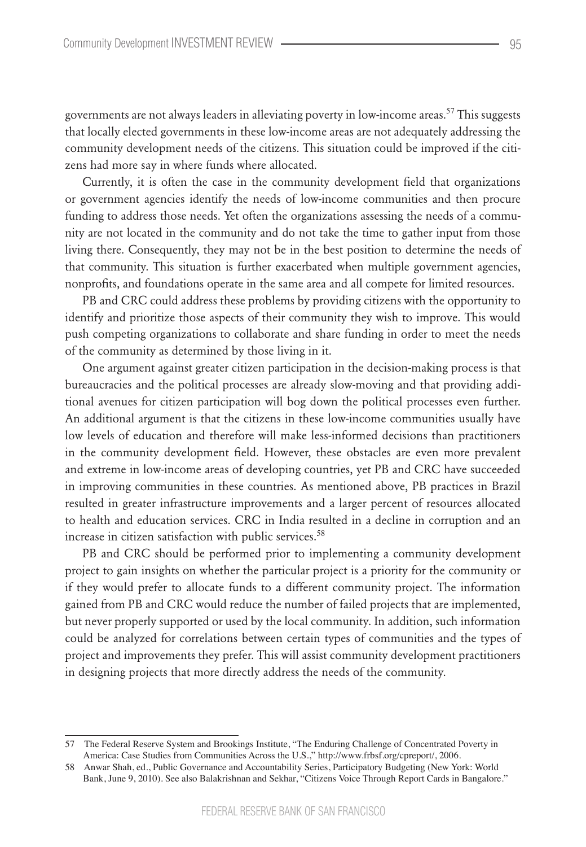governments are not always leaders in alleviating poverty in low-income areas.<sup>57</sup> This suggests that locally elected governments in these low-income areas are not adequately addressing the community development needs of the citizens. This situation could be improved if the citizens had more say in where funds where allocated.

Currently, it is often the case in the community development field that organizations or government agencies identify the needs of low-income communities and then procure funding to address those needs. Yet often the organizations assessing the needs of a community are not located in the community and do not take the time to gather input from those living there. Consequently, they may not be in the best position to determine the needs of that community. This situation is further exacerbated when multiple government agencies, nonprofits, and foundations operate in the same area and all compete for limited resources.

PB and CRC could address these problems by providing citizens with the opportunity to identify and prioritize those aspects of their community they wish to improve. This would push competing organizations to collaborate and share funding in order to meet the needs of the community as determined by those living in it.

One argument against greater citizen participation in the decision-making process is that bureaucracies and the political processes are already slow-moving and that providing additional avenues for citizen participation will bog down the political processes even further. An additional argument is that the citizens in these low-income communities usually have low levels of education and therefore will make less-informed decisions than practitioners in the community development field. However, these obstacles are even more prevalent and extreme in low-income areas of developing countries, yet PB and CRC have succeeded in improving communities in these countries. As mentioned above, PB practices in Brazil resulted in greater infrastructure improvements and a larger percent of resources allocated to health and education services. CRC in India resulted in a decline in corruption and an increase in citizen satisfaction with public services.<sup>58</sup>

PB and CRC should be performed prior to implementing a community development project to gain insights on whether the particular project is a priority for the community or if they would prefer to allocate funds to a different community project. The information gained from PB and CRC would reduce the number of failed projects that are implemented, but never properly supported or used by the local community. In addition, such information could be analyzed for correlations between certain types of communities and the types of project and improvements they prefer. This will assist community development practitioners in designing projects that more directly address the needs of the community.

<sup>57</sup> The Federal Reserve System and Brookings Institute, "The Enduring Challenge of Concentrated Poverty in America: Case Studies from Communities Across the U.S.," http://www.frbsf.org/cpreport/, 2006.

<sup>58</sup> Anwar Shah, ed., Public Governance and Accountability Series, Participatory Budgeting (New York: World Bank, June 9, 2010). See also Balakrishnan and Sekhar, "Citizens Voice Through Report Cards in Bangalore."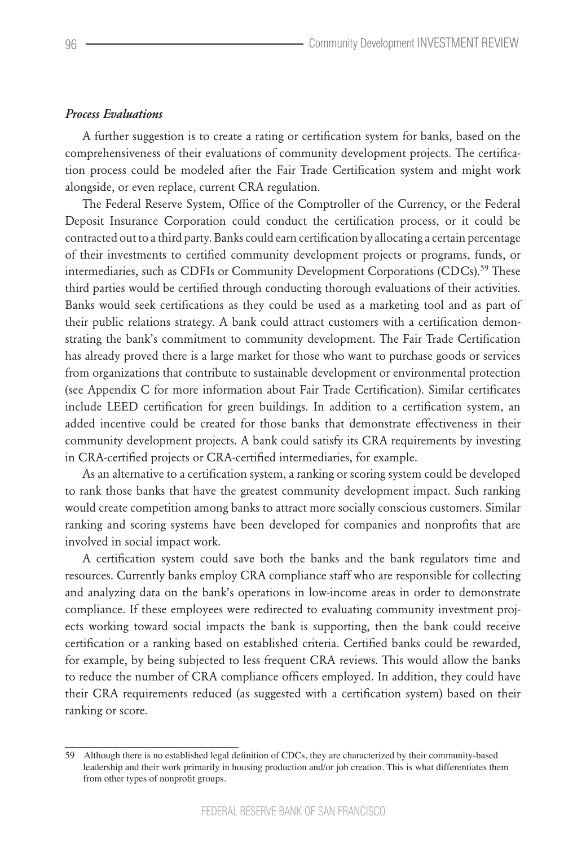#### *Process Evaluations*

A further suggestion is to create a rating or certification system for banks, based on the comprehensiveness of their evaluations of community development projects. The certification process could be modeled after the Fair Trade Certification system and might work alongside, or even replace, current CRA regulation.

The Federal Reserve System, Office of the Comptroller of the Currency, or the Federal Deposit Insurance Corporation could conduct the certification process, or it could be contracted out to a third party. Banks could earn certification by allocating a certain percentage of their investments to certified community development projects or programs, funds, or intermediaries, such as CDFIs or Community Development Corporations (CDCs).<sup>59</sup> These third parties would be certified through conducting thorough evaluations of their activities. Banks would seek certifications as they could be used as a marketing tool and as part of their public relations strategy. A bank could attract customers with a certification demonstrating the bank's commitment to community development. The Fair Trade Certification has already proved there is a large market for those who want to purchase goods or services from organizations that contribute to sustainable development or environmental protection (see Appendix C for more information about Fair Trade Certification). Similar certificates include LEED certification for green buildings. In addition to a certification system, an added incentive could be created for those banks that demonstrate effectiveness in their community development projects. A bank could satisfy its CRA requirements by investing in CRA-certified projects or CRA-certified intermediaries, for example.

As an alternative to a certification system, a ranking or scoring system could be developed to rank those banks that have the greatest community development impact. Such ranking would create competition among banks to attract more socially conscious customers. Similar ranking and scoring systems have been developed for companies and nonprofits that are involved in social impact work.

A certification system could save both the banks and the bank regulators time and resources. Currently banks employ CRA compliance staff who are responsible for collecting and analyzing data on the bank's operations in low-income areas in order to demonstrate compliance. If these employees were redirected to evaluating community investment projects working toward social impacts the bank is supporting, then the bank could receive certification or a ranking based on established criteria. Certified banks could be rewarded, for example, by being subjected to less frequent CRA reviews. This would allow the banks to reduce the number of CRA compliance officers employed. In addition, they could have their CRA requirements reduced (as suggested with a certification system) based on their ranking or score.

<sup>59</sup> Although there is no established legal definition of CDCs, they are characterized by their community-based leadership and their work primarily in housing production and/or job creation. This is what differentiates them from other types of nonprofit groups.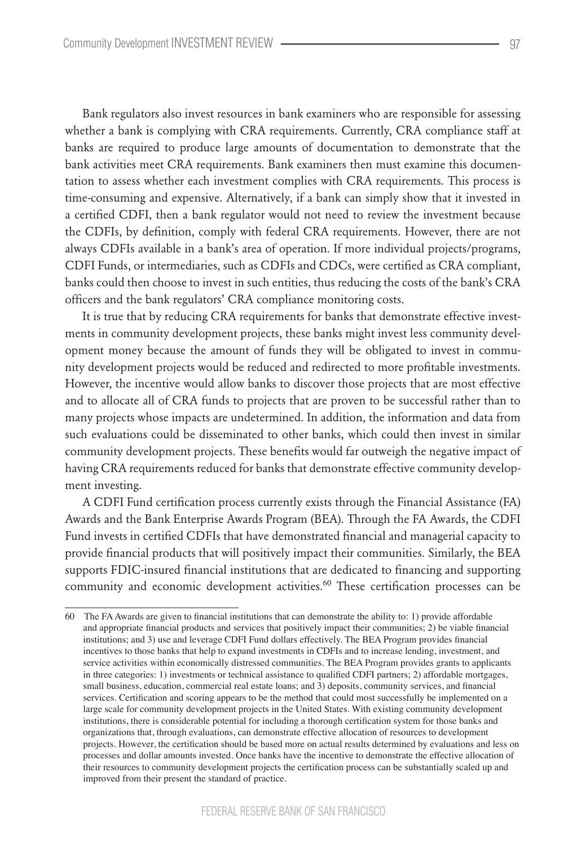Bank regulators also invest resources in bank examiners who are responsible for assessing whether a bank is complying with CRA requirements. Currently, CRA compliance staff at banks are required to produce large amounts of documentation to demonstrate that the bank activities meet CRA requirements. Bank examiners then must examine this documentation to assess whether each investment complies with CRA requirements. This process is time-consuming and expensive. Alternatively, if a bank can simply show that it invested in a certified CDFI, then a bank regulator would not need to review the investment because the CDFIs, by definition, comply with federal CRA requirements. However, there are not always CDFIs available in a bank's area of operation. If more individual projects/programs, CDFI Funds, or intermediaries, such as CDFIs and CDCs, were certified as CRA compliant, banks could then choose to invest in such entities, thus reducing the costs of the bank's CRA officers and the bank regulators' CRA compliance monitoring costs.

It is true that by reducing CRA requirements for banks that demonstrate effective investments in community development projects, these banks might invest less community development money because the amount of funds they will be obligated to invest in community development projects would be reduced and redirected to more profitable investments. However, the incentive would allow banks to discover those projects that are most effective and to allocate all of CRA funds to projects that are proven to be successful rather than to many projects whose impacts are undetermined. In addition, the information and data from such evaluations could be disseminated to other banks, which could then invest in similar community development projects. These benefits would far outweigh the negative impact of having CRA requirements reduced for banks that demonstrate effective community development investing.

A CDFI Fund certification process currently exists through the Financial Assistance (FA) Awards and the Bank Enterprise Awards Program (BEA). Through the FA Awards, the CDFI Fund invests in certified CDFIs that have demonstrated financial and managerial capacity to provide financial products that will positively impact their communities. Similarly, the BEA supports FDIC-insured financial institutions that are dedicated to financing and supporting community and economic development activities.<sup>60</sup> These certification processes can be

<sup>60</sup> The FAAwards are given to financial institutions that can demonstrate the ability to: 1) provide affordable and appropriate financial products and services that positively impact their communities; 2) be viable financial institutions; and 3) use and leverage CDFI Fund dollars effectively. The BEA Program provides financial incentives to those banks that help to expand investments in CDFIs and to increase lending, investment, and service activities within economically distressed communities. The BEA Program provides grants to applicants in three categories: 1) investments or technical assistance to qualified CDFI partners; 2) affordable mortgages, small business, education, commercial real estate loans; and 3) deposits, community services, and financial services. Certification and scoring appears to be the method that could most successfully be implemented on a large scale for community development projects in the United States. With existing community development institutions, there is considerable potential for including a thorough certification system for those banks and organizations that, through evaluations, can demonstrate effective allocation of resources to development projects. However, the certification should be based more on actual results determined by evaluations and less on processes and dollar amounts invested. Once banks have the incentive to demonstrate the effective allocation of their resources to community development projects the certification process can be substantially scaled up and improved from their present the standard of practice.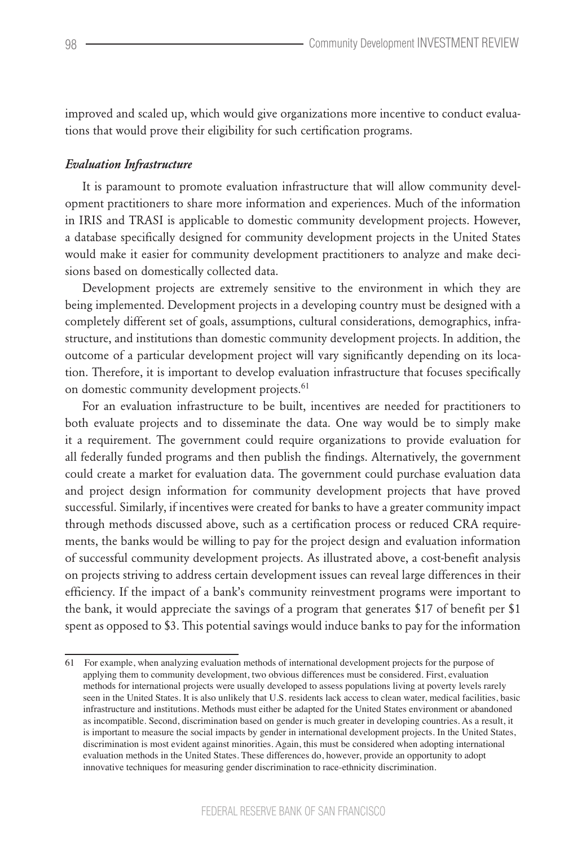improved and scaled up, which would give organizations more incentive to conduct evaluations that would prove their eligibility for such certification programs.

#### *Evaluation Infrastructure*

It is paramount to promote evaluation infrastructure that will allow community development practitioners to share more information and experiences. Much of the information in IRIS and TRASI is applicable to domestic community development projects. However, a database specifically designed for community development projects in the United States would make it easier for community development practitioners to analyze and make decisions based on domestically collected data.

Development projects are extremely sensitive to the environment in which they are being implemented. Development projects in a developing country must be designed with a completely different set of goals, assumptions, cultural considerations, demographics, infrastructure, and institutions than domestic community development projects. In addition, the outcome of a particular development project will vary significantly depending on its location. Therefore, it is important to develop evaluation infrastructure that focuses specifically on domestic community development projects.<sup>61</sup>

For an evaluation infrastructure to be built, incentives are needed for practitioners to both evaluate projects and to disseminate the data. One way would be to simply make it a requirement. The government could require organizations to provide evaluation for all federally funded programs and then publish the findings. Alternatively, the government could create a market for evaluation data. The government could purchase evaluation data and project design information for community development projects that have proved successful. Similarly, if incentives were created for banks to have a greater community impact through methods discussed above, such as a certification process or reduced CRA requirements, the banks would be willing to pay for the project design and evaluation information of successful community development projects. As illustrated above, a cost-benefit analysis on projects striving to address certain development issues can reveal large differences in their efficiency. If the impact of a bank's community reinvestment programs were important to the bank, it would appreciate the savings of a program that generates \$17 of benefit per \$1 spent as opposed to \$3. This potential savings would induce banks to pay for the information

<sup>61</sup> For example, when analyzing evaluation methods of international development projects for the purpose of applying them to community development, two obvious differences must be considered. First, evaluation methods for international projects were usually developed to assess populations living at poverty levels rarely seen in the United States. It is also unlikely that U.S. residents lack access to clean water, medical facilities, basic infrastructure and institutions. Methods must either be adapted for the United States environment or abandoned as incompatible. Second, discrimination based on gender is much greater in developing countries. As a result, it is important to measure the social impacts by gender in international development projects. In the United States, discrimination is most evident against minorities. Again, this must be considered when adopting international evaluation methods in the United States. These differences do, however, provide an opportunity to adopt innovative techniques for measuring gender discrimination to race-ethnicity discrimination.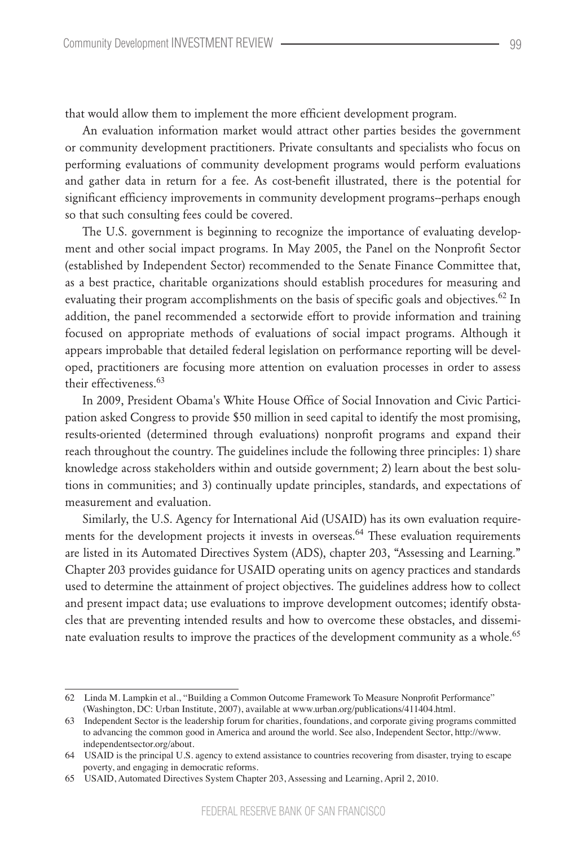that would allow them to implement the more efficient development program.

An evaluation information market would attract other parties besides the government or community development practitioners. Private consultants and specialists who focus on performing evaluations of community development programs would perform evaluations and gather data in return for a fee. As cost-benefit illustrated, there is the potential for significant efficiency improvements in community development programs--perhaps enough so that such consulting fees could be covered.

The U.S. government is beginning to recognize the importance of evaluating development and other social impact programs. In May 2005, the Panel on the Nonprofit Sector (established by Independent Sector) recommended to the Senate Finance Committee that, as a best practice, charitable organizations should establish procedures for measuring and evaluating their program accomplishments on the basis of specific goals and objectives.<sup>62</sup> In addition, the panel recommended a sectorwide effort to provide information and training focused on appropriate methods of evaluations of social impact programs. Although it appears improbable that detailed federal legislation on performance reporting will be developed, practitioners are focusing more attention on evaluation processes in order to assess their effectiveness.<sup>63</sup>

In 2009, President Obama's White House Office of Social Innovation and Civic Participation asked Congress to provide \$50 million in seed capital to identify the most promising, results-oriented (determined through evaluations) nonprofit programs and expand their reach throughout the country. The guidelines include the following three principles: 1) share knowledge across stakeholders within and outside government; 2) learn about the best solutions in communities; and 3) continually update principles, standards, and expectations of measurement and evaluation.

Similarly, the U.S. Agency for International Aid (USAID) has its own evaluation requirements for the development projects it invests in overseas.<sup>64</sup> These evaluation requirements are listed in its Automated Directives System (ADS), chapter 203, "Assessing and Learning." Chapter 203 provides guidance for USAID operating units on agency practices and standards used to determine the attainment of project objectives. The guidelines address how to collect and present impact data; use evaluations to improve development outcomes; identify obstacles that are preventing intended results and how to overcome these obstacles, and disseminate evaluation results to improve the practices of the development community as a whole.<sup>65</sup>

<sup>62</sup> Linda M. Lampkin et al., "Building a Common Outcome Framework To Measure Nonprofit Performance" (Washington, DC: Urban Institute, 2007), available at www.urban.org/publications/411404.html.

<sup>63</sup> Independent Sector is the leadership forum for charities, foundations, and corporate giving programs committed to advancing the common good in America and around the world. See also, Independent Sector, http://www. independentsector.org/about.

<sup>64</sup> USAID is the principal U.S. agency to extend assistance to countries recovering from disaster, trying to escape poverty, and engaging in democratic reforms.

<sup>65</sup> USAID, Automated Directives System Chapter 203, Assessing and Learning, April 2, 2010.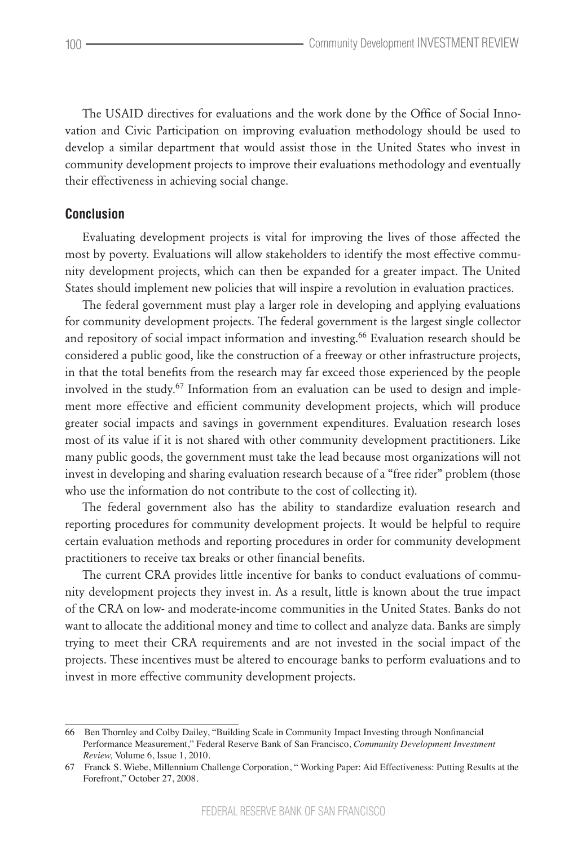The USAID directives for evaluations and the work done by the Office of Social Innovation and Civic Participation on improving evaluation methodology should be used to develop a similar department that would assist those in the United States who invest in community development projects to improve their evaluations methodology and eventually their effectiveness in achieving social change.

### **Conclusion**

Evaluating development projects is vital for improving the lives of those affected the most by poverty. Evaluations will allow stakeholders to identify the most effective community development projects, which can then be expanded for a greater impact. The United States should implement new policies that will inspire a revolution in evaluation practices.

The federal government must play a larger role in developing and applying evaluations for community development projects. The federal government is the largest single collector and repository of social impact information and investing.<sup>66</sup> Evaluation research should be considered a public good, like the construction of a freeway or other infrastructure projects, in that the total benefits from the research may far exceed those experienced by the people involved in the study.<sup>67</sup> Information from an evaluation can be used to design and implement more effective and efficient community development projects, which will produce greater social impacts and savings in government expenditures. Evaluation research loses most of its value if it is not shared with other community development practitioners. Like many public goods, the government must take the lead because most organizations will not invest in developing and sharing evaluation research because of a "free rider" problem (those who use the information do not contribute to the cost of collecting it).

The federal government also has the ability to standardize evaluation research and reporting procedures for community development projects. It would be helpful to require certain evaluation methods and reporting procedures in order for community development practitioners to receive tax breaks or other financial benefits.

The current CRA provides little incentive for banks to conduct evaluations of community development projects they invest in. As a result, little is known about the true impact of the CRA on low- and moderate-income communities in the United States. Banks do not want to allocate the additional money and time to collect and analyze data. Banks are simply trying to meet their CRA requirements and are not invested in the social impact of the projects. These incentives must be altered to encourage banks to perform evaluations and to invest in more effective community development projects.

<sup>66</sup> Ben Thornley and Colby Dailey, "Building Scale in Community Impact Investing through Nonfinancial Performance Measurement," Federal Reserve Bank of San Francisco, *Community Development Investment Review,* Volume 6, Issue 1, 2010.

<sup>67</sup> Franck S. Wiebe, Millennium Challenge Corporation, " Working Paper: Aid Effectiveness: Putting Results at the Forefront," October 27, 2008.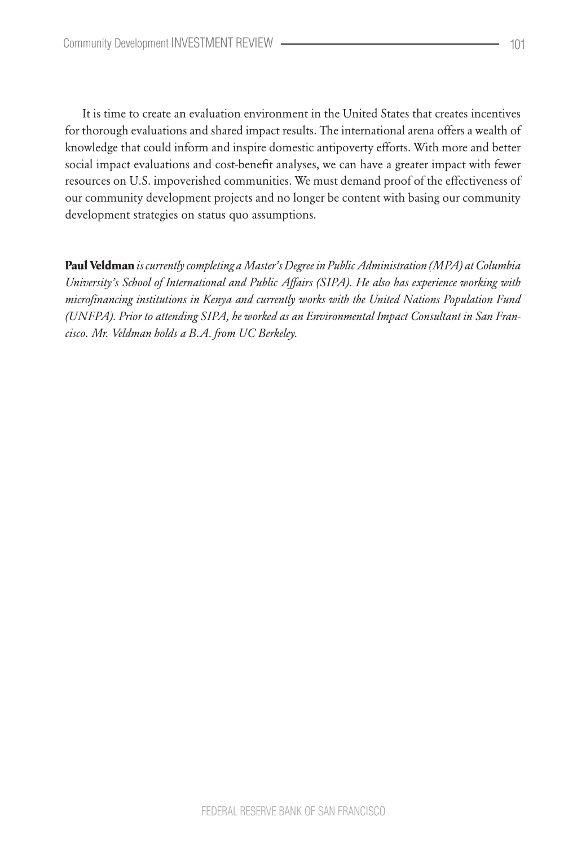It is time to create an evaluation environment in the United States that creates incentives for thorough evaluations and shared impact results. The international arena offers a wealth of knowledge that could inform and inspire domestic antipoverty efforts. With more and better social impact evaluations and cost-benefit analyses, we can have a greater impact with fewer resources on U.S. impoverished communities. We must demand proof of the effectiveness of our community development projects and no longer be content with basing our community development strategies on status quo assumptions.

**Paul Veldman** *is currently completing a Master's Degree in Public Administration (MPA) at Columbia University's School of International and Public Affairs (SIPA). He also has experience working with microfinancing institutions in Kenya and currently works with the United Nations Population Fund (UNFPA). Prior to attending SIPA, he worked as an Environmental Impact Consultant in San Francisco. Mr. Veldman holds a B.A. from UC Berkeley.*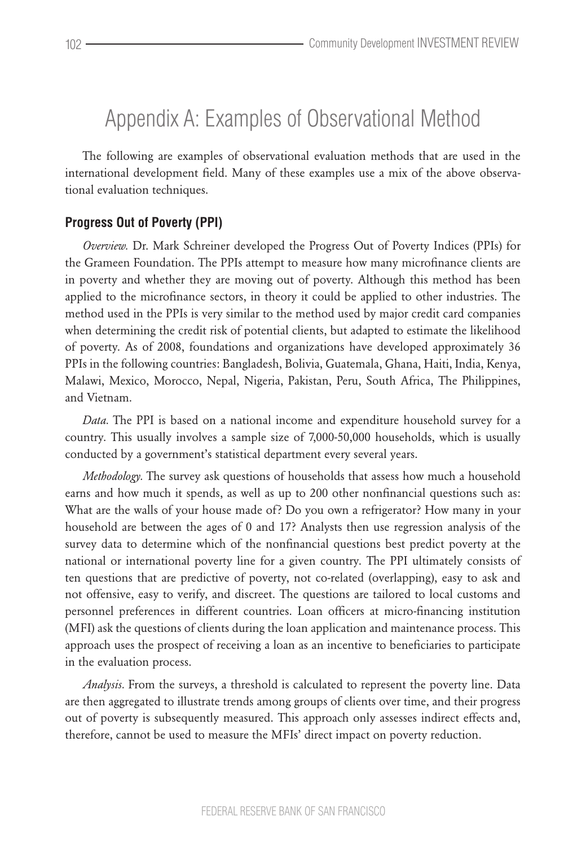## Appendix A: Examples of Observational Method

The following are examples of observational evaluation methods that are used in the international development field. Many of these examples use a mix of the above observational evaluation techniques.

### **Progress Out of Poverty (PPI)**

*Overview.* Dr. Mark Schreiner developed the Progress Out of Poverty Indices (PPIs) for the Grameen Foundation. The PPIs attempt to measure how many microfinance clients are in poverty and whether they are moving out of poverty. Although this method has been applied to the microfinance sectors, in theory it could be applied to other industries. The method used in the PPIs is very similar to the method used by major credit card companies when determining the credit risk of potential clients, but adapted to estimate the likelihood of poverty. As of 2008, foundations and organizations have developed approximately 36 PPIs in the following countries: Bangladesh, Bolivia, Guatemala, Ghana, Haiti, India, Kenya, Malawi, Mexico, Morocco, Nepal, Nigeria, Pakistan, Peru, South Africa, The Philippines, and Vietnam.

*Data.* The PPI is based on a national income and expenditure household survey for a country. This usually involves a sample size of 7,000-50,000 households, which is usually conducted by a government's statistical department every several years.

*Methodology.* The survey ask questions of households that assess how much a household earns and how much it spends, as well as up to 200 other nonfinancial questions such as: What are the walls of your house made of? Do you own a refrigerator? How many in your household are between the ages of 0 and 17? Analysts then use regression analysis of the survey data to determine which of the nonfinancial questions best predict poverty at the national or international poverty line for a given country. The PPI ultimately consists of ten questions that are predictive of poverty, not co-related (overlapping), easy to ask and not offensive, easy to verify, and discreet. The questions are tailored to local customs and personnel preferences in different countries. Loan officers at micro-financing institution (MFI) ask the questions of clients during the loan application and maintenance process. This approach uses the prospect of receiving a loan as an incentive to beneficiaries to participate in the evaluation process.

*Analysis.* From the surveys, a threshold is calculated to represent the poverty line. Data are then aggregated to illustrate trends among groups of clients over time, and their progress out of poverty is subsequently measured. This approach only assesses indirect effects and, therefore, cannot be used to measure the MFIs' direct impact on poverty reduction.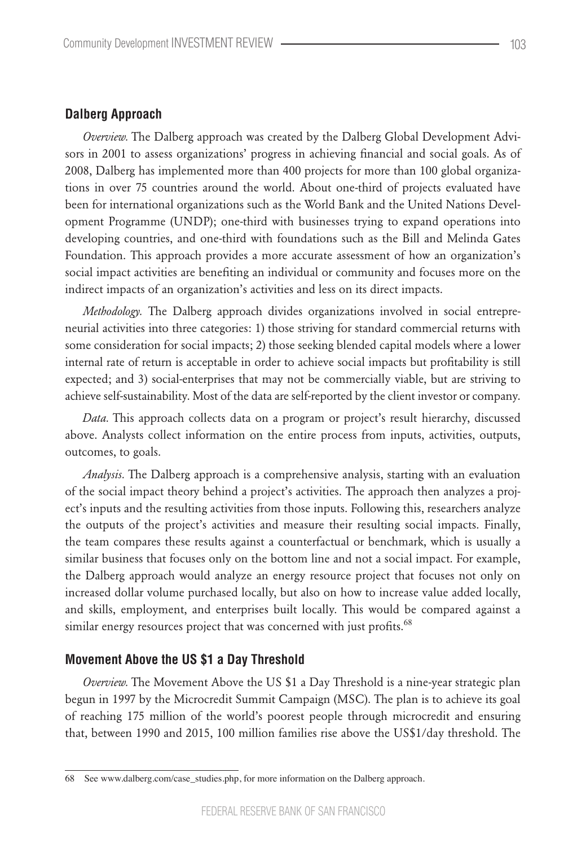#### **Dalberg Approach**

*Overview.* The Dalberg approach was created by the Dalberg Global Development Advisors in 2001 to assess organizations' progress in achieving financial and social goals. As of 2008, Dalberg has implemented more than 400 projects for more than 100 global organizations in over 75 countries around the world. About one-third of projects evaluated have been for international organizations such as the World Bank and the United Nations Development Programme (UNDP); one-third with businesses trying to expand operations into developing countries, and one-third with foundations such as the Bill and Melinda Gates Foundation. This approach provides a more accurate assessment of how an organization's social impact activities are benefiting an individual or community and focuses more on the indirect impacts of an organization's activities and less on its direct impacts.

*Methodology.* The Dalberg approach divides organizations involved in social entrepreneurial activities into three categories: 1) those striving for standard commercial returns with some consideration for social impacts; 2) those seeking blended capital models where a lower internal rate of return is acceptable in order to achieve social impacts but profitability is still expected; and 3) social-enterprises that may not be commercially viable, but are striving to achieve self-sustainability. Most of the data are self-reported by the client investor or company.

*Data.* This approach collects data on a program or project's result hierarchy, discussed above. Analysts collect information on the entire process from inputs, activities, outputs, outcomes, to goals.

*Analysis.* The Dalberg approach is a comprehensive analysis, starting with an evaluation of the social impact theory behind a project's activities. The approach then analyzes a project's inputs and the resulting activities from those inputs. Following this, researchers analyze the outputs of the project's activities and measure their resulting social impacts. Finally, the team compares these results against a counterfactual or benchmark, which is usually a similar business that focuses only on the bottom line and not a social impact. For example, the Dalberg approach would analyze an energy resource project that focuses not only on increased dollar volume purchased locally, but also on how to increase value added locally, and skills, employment, and enterprises built locally. This would be compared against a similar energy resources project that was concerned with just profits.<sup>68</sup>

#### **Movement Above the US \$1 a Day Threshold**

*Overview.* The Movement Above the US \$1 a Day Threshold is a nine-year strategic plan begun in 1997 by the Microcredit Summit Campaign (MSC). The plan is to achieve its goal of reaching 175 million of the world's poorest people through microcredit and ensuring that, between 1990 and 2015, 100 million families rise above the US\$1/day threshold. The

<sup>68</sup> See www.dalberg.com/case\_studies.php, for more information on the Dalberg approach.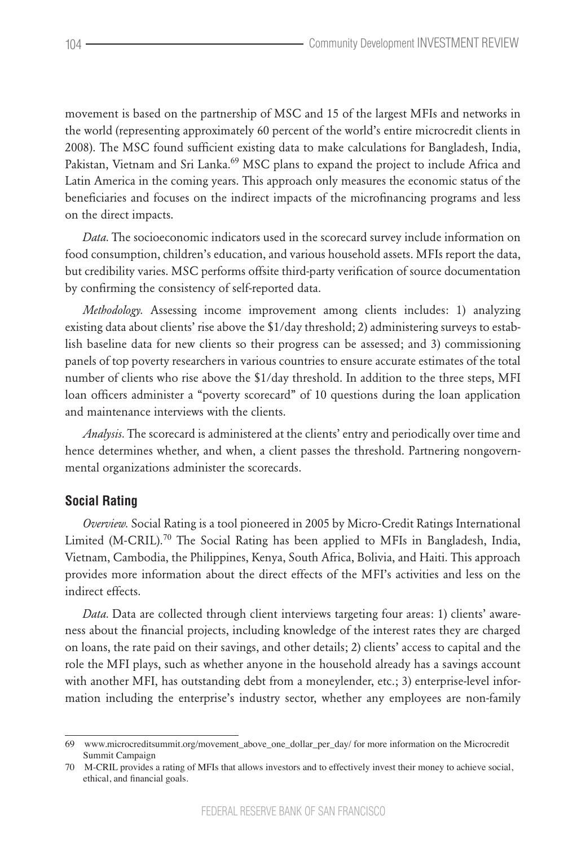movement is based on the partnership of MSC and 15 of the largest MFIs and networks in the world (representing approximately 60 percent of the world's entire microcredit clients in 2008). The MSC found sufficient existing data to make calculations for Bangladesh, India, Pakistan, Vietnam and Sri Lanka.<sup>69</sup> MSC plans to expand the project to include Africa and Latin America in the coming years. This approach only measures the economic status of the beneficiaries and focuses on the indirect impacts of the microfinancing programs and less on the direct impacts.

*Data.* The socioeconomic indicators used in the scorecard survey include information on food consumption, children's education, and various household assets. MFIs report the data, but credibility varies. MSC performs offsite third-party verification of source documentation by confirming the consistency of self-reported data.

*Methodology.* Assessing income improvement among clients includes: 1) analyzing existing data about clients' rise above the \$1/day threshold; 2) administering surveys to establish baseline data for new clients so their progress can be assessed; and 3) commissioning panels of top poverty researchers in various countries to ensure accurate estimates of the total number of clients who rise above the \$1/day threshold. In addition to the three steps, MFI loan officers administer a "poverty scorecard" of 10 questions during the loan application and maintenance interviews with the clients.

*Analysis.* The scorecard is administered at the clients' entry and periodically over time and hence determines whether, and when, a client passes the threshold. Partnering nongovernmental organizations administer the scorecards.

#### **Social Rating**

*Overview.* Social Rating is a tool pioneered in 2005 by Micro-Credit Ratings International Limited (M-CRIL).<sup>70</sup> The Social Rating has been applied to MFIs in Bangladesh, India, Vietnam, Cambodia, the Philippines, Kenya, South Africa, Bolivia, and Haiti. This approach provides more information about the direct effects of the MFI's activities and less on the indirect effects.

*Data.* Data are collected through client interviews targeting four areas: 1) clients' awareness about the financial projects, including knowledge of the interest rates they are charged on loans, the rate paid on their savings, and other details; 2) clients' access to capital and the role the MFI plays, such as whether anyone in the household already has a savings account with another MFI, has outstanding debt from a moneylender, etc.; 3) enterprise-level information including the enterprise's industry sector, whether any employees are non-family

<sup>69</sup> www.microcreditsummit.org/movement\_above\_one\_dollar\_per\_day/ for more information on the Microcredit Summit Campaign

<sup>70</sup> M-CRIL provides a rating of MFIs that allows investors and to effectively invest their money to achieve social, ethical, and financial goals.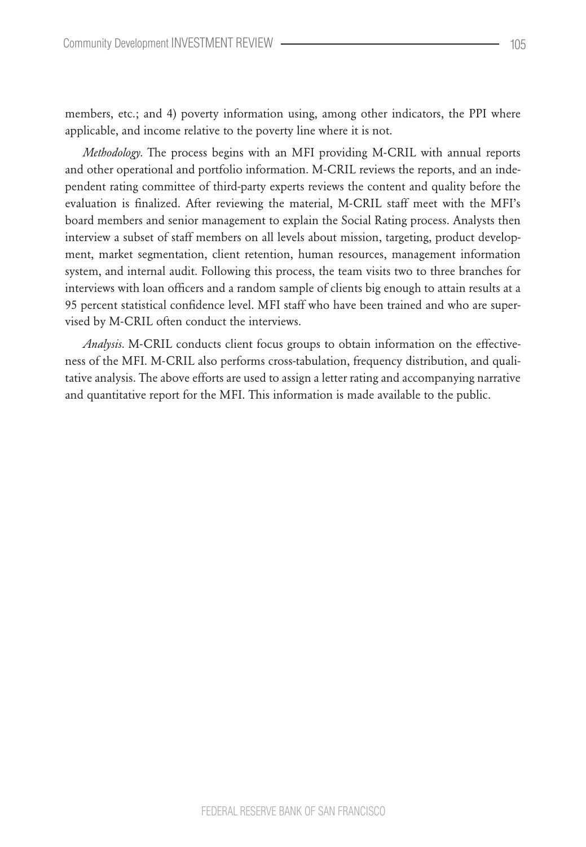members, etc.; and 4) poverty information using, among other indicators, the PPI where applicable, and income relative to the poverty line where it is not.

*Methodology.* The process begins with an MFI providing M-CRIL with annual reports and other operational and portfolio information. M-CRIL reviews the reports, and an independent rating committee of third-party experts reviews the content and quality before the evaluation is finalized. After reviewing the material, M-CRIL staff meet with the MFI's board members and senior management to explain the Social Rating process. Analysts then interview a subset of staff members on all levels about mission, targeting, product development, market segmentation, client retention, human resources, management information system, and internal audit. Following this process, the team visits two to three branches for interviews with loan officers and a random sample of clients big enough to attain results at a 95 percent statistical confidence level. MFI staff who have been trained and who are supervised by M-CRIL often conduct the interviews.

*Analysis.* M-CRIL conducts client focus groups to obtain information on the effectiveness of the MFI. M-CRIL also performs cross-tabulation, frequency distribution, and qualitative analysis. The above efforts are used to assign a letter rating and accompanying narrative and quantitative report for the MFI. This information is made available to the public.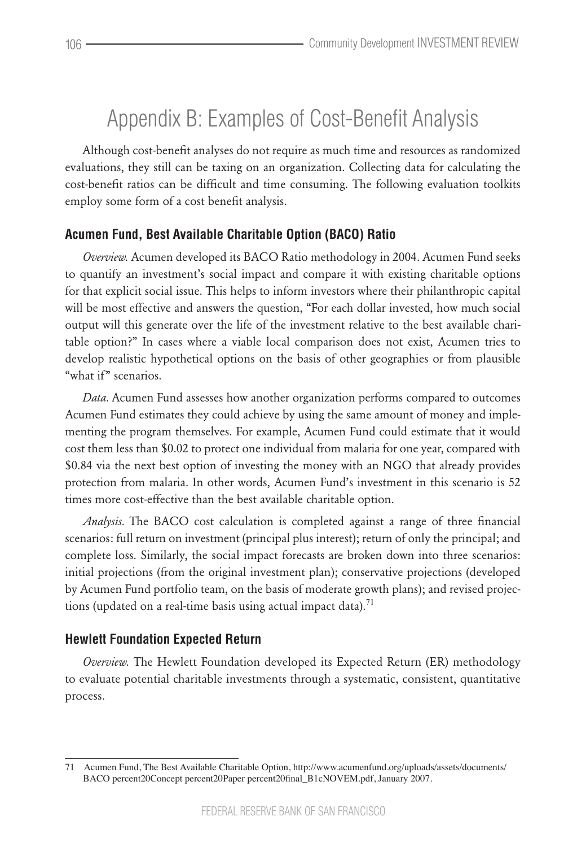## Appendix B: Examples of Cost-Benefit Analysis

Although cost-benefit analyses do not require as much time and resources as randomized evaluations, they still can be taxing on an organization. Collecting data for calculating the cost-benefit ratios can be difficult and time consuming. The following evaluation toolkits employ some form of a cost benefit analysis.

## **Acumen Fund, Best Available Charitable Option (BACO) Ratio**

*Overview.* Acumen developed its BACO Ratio methodology in 2004. Acumen Fund seeks to quantify an investment's social impact and compare it with existing charitable options for that explicit social issue. This helps to inform investors where their philanthropic capital will be most effective and answers the question, "For each dollar invested, how much social output will this generate over the life of the investment relative to the best available charitable option?" In cases where a viable local comparison does not exist, Acumen tries to develop realistic hypothetical options on the basis of other geographies or from plausible "what if" scenarios.

*Data.* Acumen Fund assesses how another organization performs compared to outcomes Acumen Fund estimates they could achieve by using the same amount of money and implementing the program themselves. For example, Acumen Fund could estimate that it would cost them less than \$0.02 to protect one individual from malaria for one year, compared with \$0.84 via the next best option of investing the money with an NGO that already provides protection from malaria. In other words, Acumen Fund's investment in this scenario is 52 times more cost-effective than the best available charitable option.

*Analysis.* The BACO cost calculation is completed against a range of three financial scenarios: full return on investment (principal plus interest); return of only the principal; and complete loss. Similarly, the social impact forecasts are broken down into three scenarios: initial projections (from the original investment plan); conservative projections (developed by Acumen Fund portfolio team, on the basis of moderate growth plans); and revised projections (updated on a real-time basis using actual impact data).<sup>71</sup>

## **Hewlett Foundation Expected Return**

*Overview.* The Hewlett Foundation developed its Expected Return (ER) methodology to evaluate potential charitable investments through a systematic, consistent, quantitative process.

<sup>71</sup> Acumen Fund, The Best Available Charitable Option, http://www.acumenfund.org/uploads/assets/documents/ BACO percent20Concept percent20Paper percent20final\_B1cNOVEM.pdf, January 2007.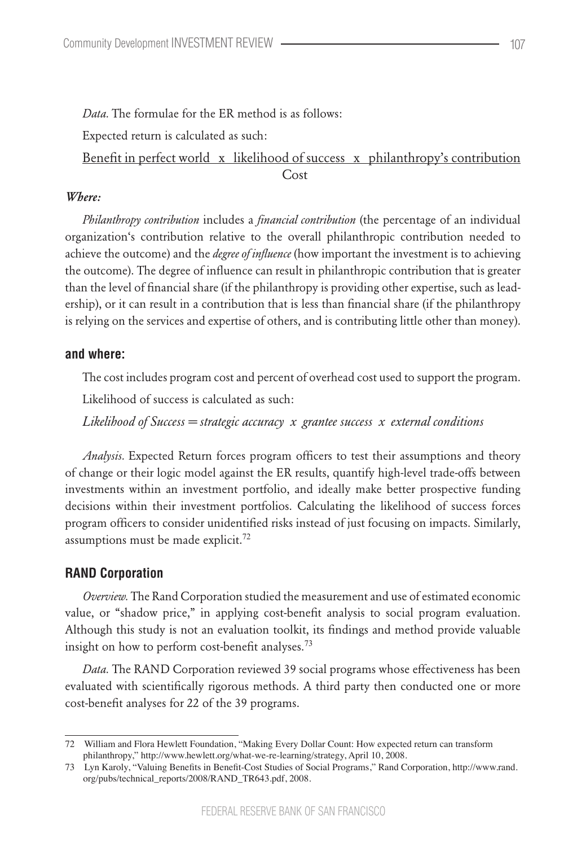*Data.* The formulae for the ER method is as follows:

Expected return is calculated as such:

Benefit in perfect world x likelihood of success x philanthropy's contribution **Cost** 

## *Where:*

*Philanthropy contribution* includes a *financial contribution* (the percentage of an individual organization's contribution relative to the overall philanthropic contribution needed to achieve the outcome) and the *degree of influence* (how important the investment is to achieving the outcome). The degree of influence can result in philanthropic contribution that is greater than the level of financial share (if the philanthropy is providing other expertise, such as leadership), or it can result in a contribution that is less than financial share (if the philanthropy is relying on the services and expertise of others, and is contributing little other than money).

## **and where:**

The cost includes program cost and percent of overhead cost used to support the program.

Likelihood of success is calculated as such:

*Likelihood of Success = strategic accuracy x grantee success x external conditions*

*Analysis.* Expected Return forces program officers to test their assumptions and theory of change or their logic model against the ER results, quantify high-level trade-offs between investments within an investment portfolio, and ideally make better prospective funding decisions within their investment portfolios. Calculating the likelihood of success forces program officers to consider unidentified risks instead of just focusing on impacts. Similarly, assumptions must be made explicit.<sup>72</sup>

## **RAND Corporation**

*Overview.* The Rand Corporation studied the measurement and use of estimated economic value, or "shadow price," in applying cost-benefit analysis to social program evaluation. Although this study is not an evaluation toolkit, its findings and method provide valuable insight on how to perform cost-benefit analyses.<sup>73</sup>

*Data.* The RAND Corporation reviewed 39 social programs whose effectiveness has been evaluated with scientifically rigorous methods. A third party then conducted one or more cost-benefit analyses for 22 of the 39 programs.

<sup>72</sup> William and Flora Hewlett Foundation, "Making Every Dollar Count: How expected return can transform philanthropy," http://www.hewlett.org/what-we-re-learning/strategy, April 10, 2008.

<sup>73</sup> Lyn Karoly, "Valuing Benefits in Benefit-Cost Studies of Social Programs," Rand Corporation, http://www.rand. org/pubs/technical\_reports/2008/RAND\_TR643.pdf, 2008.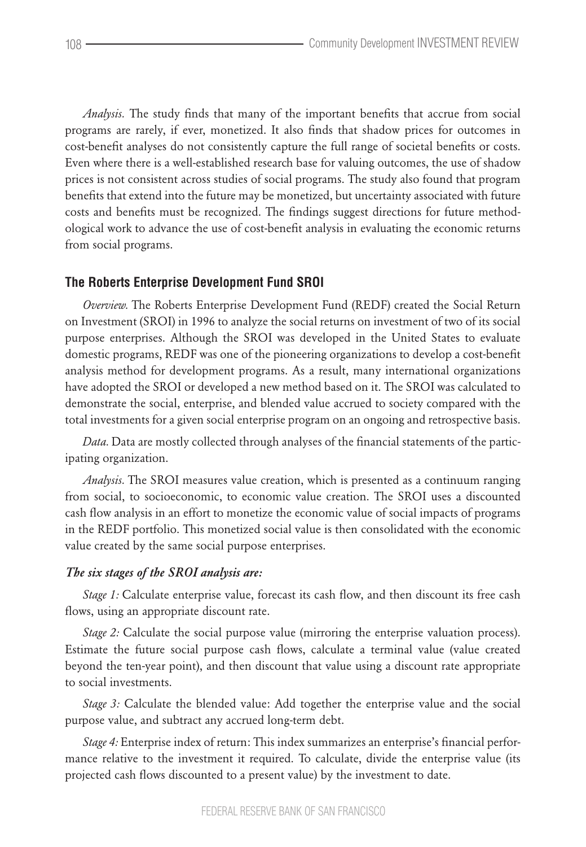*Analysis.* The study finds that many of the important benefits that accrue from social programs are rarely, if ever, monetized. It also finds that shadow prices for outcomes in cost-benefit analyses do not consistently capture the full range of societal benefits or costs. Even where there is a well-established research base for valuing outcomes, the use of shadow prices is not consistent across studies of social programs. The study also found that program benefits that extend into the future may be monetized, but uncertainty associated with future costs and benefits must be recognized. The findings suggest directions for future methodological work to advance the use of cost-benefit analysis in evaluating the economic returns from social programs.

#### **The Roberts Enterprise Development Fund SROI**

*Overview.* The Roberts Enterprise Development Fund (REDF) created the Social Return on Investment (SROI) in 1996 to analyze the social returns on investment of two of its social purpose enterprises. Although the SROI was developed in the United States to evaluate domestic programs, REDF was one of the pioneering organizations to develop a cost-benefit analysis method for development programs. As a result, many international organizations have adopted the SROI or developed a new method based on it. The SROI was calculated to demonstrate the social, enterprise, and blended value accrued to society compared with the total investments for a given social enterprise program on an ongoing and retrospective basis.

*Data.* Data are mostly collected through analyses of the financial statements of the participating organization.

*Analysis.* The SROI measures value creation, which is presented as a continuum ranging from social, to socioeconomic, to economic value creation. The SROI uses a discounted cash flow analysis in an effort to monetize the economic value of social impacts of programs in the REDF portfolio. This monetized social value is then consolidated with the economic value created by the same social purpose enterprises.

#### *The six stages of the SROI analysis are:*

*Stage 1:* Calculate enterprise value, forecast its cash flow, and then discount its free cash flows, using an appropriate discount rate.

*Stage 2:* Calculate the social purpose value (mirroring the enterprise valuation process). Estimate the future social purpose cash flows, calculate a terminal value (value created beyond the ten-year point), and then discount that value using a discount rate appropriate to social investments.

*Stage 3:* Calculate the blended value: Add together the enterprise value and the social purpose value, and subtract any accrued long-term debt.

*Stage 4:* Enterprise index of return: This index summarizes an enterprise's financial performance relative to the investment it required. To calculate, divide the enterprise value (its projected cash flows discounted to a present value) by the investment to date.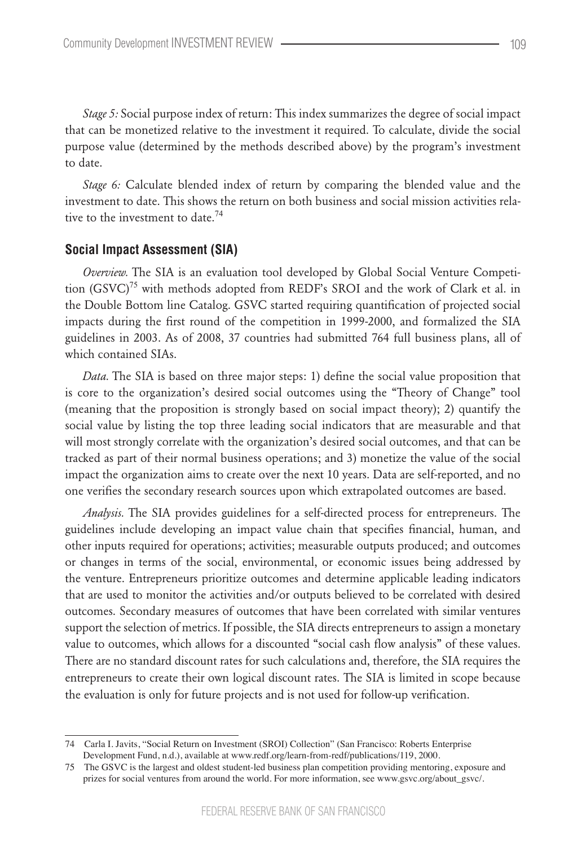*Stage 5:* Social purpose index of return: This index summarizes the degree of social impact that can be monetized relative to the investment it required. To calculate, divide the social purpose value (determined by the methods described above) by the program's investment to date.

*Stage 6:* Calculate blended index of return by comparing the blended value and the investment to date. This shows the return on both business and social mission activities relative to the investment to date.<sup>74</sup>

## **Social Impact Assessment (SIA)**

*Overview.* The SIA is an evaluation tool developed by Global Social Venture Competition  $(GSVC)^{75}$  with methods adopted from REDF's SROI and the work of Clark et al. in the Double Bottom line Catalog. GSVC started requiring quantification of projected social impacts during the first round of the competition in 1999-2000, and formalized the SIA guidelines in 2003. As of 2008, 37 countries had submitted 764 full business plans, all of which contained SIAs.

*Data.* The SIA is based on three major steps: 1) define the social value proposition that is core to the organization's desired social outcomes using the "Theory of Change" tool (meaning that the proposition is strongly based on social impact theory); 2) quantify the social value by listing the top three leading social indicators that are measurable and that will most strongly correlate with the organization's desired social outcomes, and that can be tracked as part of their normal business operations; and 3) monetize the value of the social impact the organization aims to create over the next 10 years. Data are self-reported, and no one verifies the secondary research sources upon which extrapolated outcomes are based.

*Analysis.* The SIA provides guidelines for a self-directed process for entrepreneurs. The guidelines include developing an impact value chain that specifies financial, human, and other inputs required for operations; activities; measurable outputs produced; and outcomes or changes in terms of the social, environmental, or economic issues being addressed by the venture. Entrepreneurs prioritize outcomes and determine applicable leading indicators that are used to monitor the activities and/or outputs believed to be correlated with desired outcomes. Secondary measures of outcomes that have been correlated with similar ventures support the selection of metrics. If possible, the SIA directs entrepreneurs to assign a monetary value to outcomes, which allows for a discounted "social cash flow analysis" of these values. There are no standard discount rates for such calculations and, therefore, the SIA requires the entrepreneurs to create their own logical discount rates. The SIA is limited in scope because the evaluation is only for future projects and is not used for follow-up verification.

<sup>74</sup> Carla I. Javits, "Social Return on Investment (SROI) Collection" (San Francisco: Roberts Enterprise Development Fund, n.d.), available at www.redf.org/learn-from-redf/publications/119, 2000.

<sup>75</sup> The GSVC is the largest and oldest student-led business plan competition providing mentoring, exposure and prizes for social ventures from around the world. For more information, see www.gsvc.org/about\_gsvc/.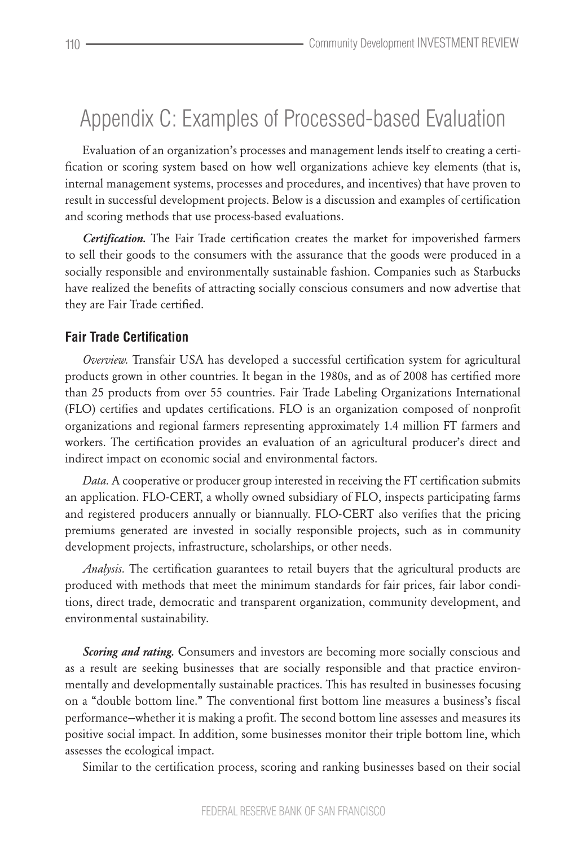## Appendix C: Examples of Processed-based Evaluation

Evaluation of an organization's processes and management lends itself to creating a certification or scoring system based on how well organizations achieve key elements (that is, internal management systems, processes and procedures, and incentives) that have proven to result in successful development projects. Below is a discussion and examples of certification and scoring methods that use process-based evaluations.

*Certification.* The Fair Trade certification creates the market for impoverished farmers to sell their goods to the consumers with the assurance that the goods were produced in a socially responsible and environmentally sustainable fashion. Companies such as Starbucks have realized the benefits of attracting socially conscious consumers and now advertise that they are Fair Trade certified.

### **Fair Trade Certification**

*Overview.* Transfair USA has developed a successful certification system for agricultural products grown in other countries. It began in the 1980s, and as of 2008 has certified more than 25 products from over 55 countries. Fair Trade Labeling Organizations International (FLO) certifies and updates certifications. FLO is an organization composed of nonprofit organizations and regional farmers representing approximately 1.4 million FT farmers and workers. The certification provides an evaluation of an agricultural producer's direct and indirect impact on economic social and environmental factors.

*Data.* A cooperative or producer group interested in receiving the FT certification submits an application. FLO-CERT, a wholly owned subsidiary of FLO, inspects participating farms and registered producers annually or biannually. FLO-CERT also verifies that the pricing premiums generated are invested in socially responsible projects, such as in community development projects, infrastructure, scholarships, or other needs.

*Analysis.* The certification guarantees to retail buyers that the agricultural products are produced with methods that meet the minimum standards for fair prices, fair labor conditions, direct trade, democratic and transparent organization, community development, and environmental sustainability.

*Scoring and rating.* Consumers and investors are becoming more socially conscious and as a result are seeking businesses that are socially responsible and that practice environmentally and developmentally sustainable practices. This has resulted in businesses focusing on a "double bottom line." The conventional first bottom line measures a business's fiscal performance—whether it is making a profit. The second bottom line assesses and measures its positive social impact. In addition, some businesses monitor their triple bottom line, which assesses the ecological impact.

Similar to the certification process, scoring and ranking businesses based on their social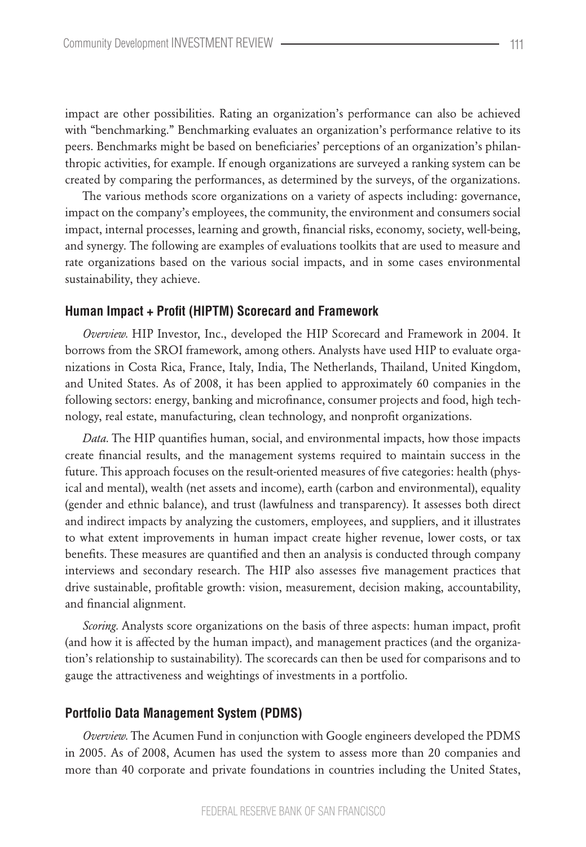impact are other possibilities. Rating an organization's performance can also be achieved with "benchmarking." Benchmarking evaluates an organization's performance relative to its peers. Benchmarks might be based on beneficiaries' perceptions of an organization's philanthropic activities, for example. If enough organizations are surveyed a ranking system can be created by comparing the performances, as determined by the surveys, of the organizations.

The various methods score organizations on a variety of aspects including: governance, impact on the company's employees, the community, the environment and consumers social impact, internal processes, learning and growth, financial risks, economy, society, well-being, and synergy. The following are examples of evaluations toolkits that are used to measure and rate organizations based on the various social impacts, and in some cases environmental sustainability, they achieve.

#### **Human Impact + Profit (HIPTM) Scorecard and Framework**

*Overview.* HIP Investor, Inc., developed the HIP Scorecard and Framework in 2004. It borrows from the SROI framework, among others. Analysts have used HIP to evaluate organizations in Costa Rica, France, Italy, India, The Netherlands, Thailand, United Kingdom, and United States. As of 2008, it has been applied to approximately 60 companies in the following sectors: energy, banking and microfinance, consumer projects and food, high technology, real estate, manufacturing, clean technology, and nonprofit organizations.

*Data.* The HIP quantifies human, social, and environmental impacts, how those impacts create financial results, and the management systems required to maintain success in the future. This approach focuses on the result-oriented measures of five categories: health (physical and mental), wealth (net assets and income), earth (carbon and environmental), equality (gender and ethnic balance), and trust (lawfulness and transparency). It assesses both direct and indirect impacts by analyzing the customers, employees, and suppliers, and it illustrates to what extent improvements in human impact create higher revenue, lower costs, or tax benefits. These measures are quantified and then an analysis is conducted through company interviews and secondary research. The HIP also assesses five management practices that drive sustainable, profitable growth: vision, measurement, decision making, accountability, and financial alignment.

*Scoring.* Analysts score organizations on the basis of three aspects: human impact, profit (and how it is affected by the human impact), and management practices (and the organization's relationship to sustainability). The scorecards can then be used for comparisons and to gauge the attractiveness and weightings of investments in a portfolio.

#### **Portfolio Data Management System (PDMS)**

*Overview.* The Acumen Fund in conjunction with Google engineers developed the PDMS in 2005. As of 2008, Acumen has used the system to assess more than 20 companies and more than 40 corporate and private foundations in countries including the United States,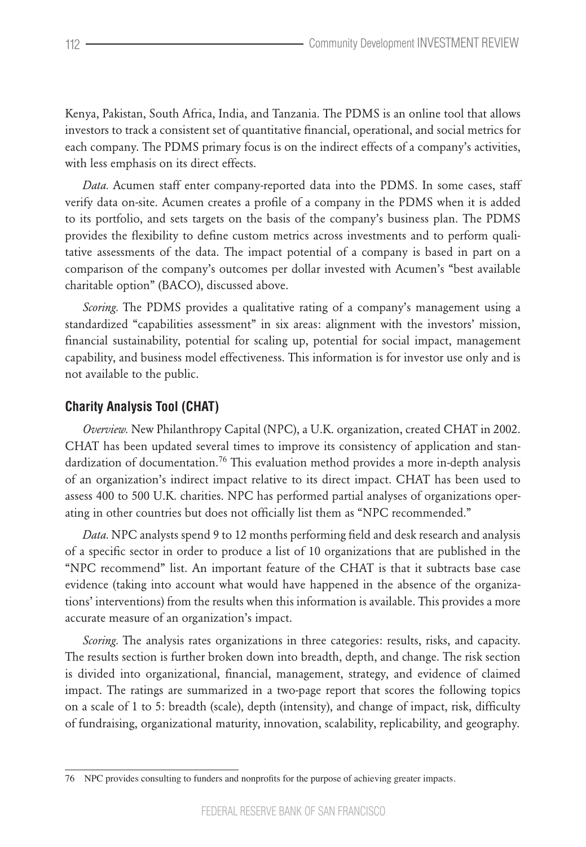Kenya, Pakistan, South Africa, India, and Tanzania. The PDMS is an online tool that allows investors to track a consistent set of quantitative financial, operational, and social metrics for each company. The PDMS primary focus is on the indirect effects of a company's activities, with less emphasis on its direct effects.

*Data.* Acumen staff enter company-reported data into the PDMS. In some cases, staff verify data on-site. Acumen creates a profile of a company in the PDMS when it is added to its portfolio, and sets targets on the basis of the company's business plan. The PDMS provides the flexibility to define custom metrics across investments and to perform qualitative assessments of the data. The impact potential of a company is based in part on a comparison of the company's outcomes per dollar invested with Acumen's "best available charitable option" (BACO), discussed above.

*Scoring.* The PDMS provides a qualitative rating of a company's management using a standardized "capabilities assessment" in six areas: alignment with the investors' mission, financial sustainability, potential for scaling up, potential for social impact, management capability, and business model effectiveness. This information is for investor use only and is not available to the public.

## **Charity Analysis Tool (CHAT)**

*Overview.* New Philanthropy Capital (NPC), a U.K. organization, created CHAT in 2002. CHAT has been updated several times to improve its consistency of application and standardization of documentation.<sup>76</sup> This evaluation method provides a more in-depth analysis of an organization's indirect impact relative to its direct impact. CHAT has been used to assess 400 to 500 U.K. charities. NPC has performed partial analyses of organizations operating in other countries but does not officially list them as "NPC recommended."

*Data.* NPC analysts spend 9 to 12 months performing field and desk research and analysis of a specific sector in order to produce a list of 10 organizations that are published in the "NPC recommend" list. An important feature of the CHAT is that it subtracts base case evidence (taking into account what would have happened in the absence of the organizations' interventions) from the results when this information is available. This provides a more accurate measure of an organization's impact.

*Scoring.* The analysis rates organizations in three categories: results, risks, and capacity. The results section is further broken down into breadth, depth, and change. The risk section is divided into organizational, financial, management, strategy, and evidence of claimed impact. The ratings are summarized in a two-page report that scores the following topics on a scale of 1 to 5: breadth (scale), depth (intensity), and change of impact, risk, difficulty of fundraising, organizational maturity, innovation, scalability, replicability, and geography.

<sup>76</sup> NPC provides consulting to funders and nonprofits for the purpose of achieving greater impacts.